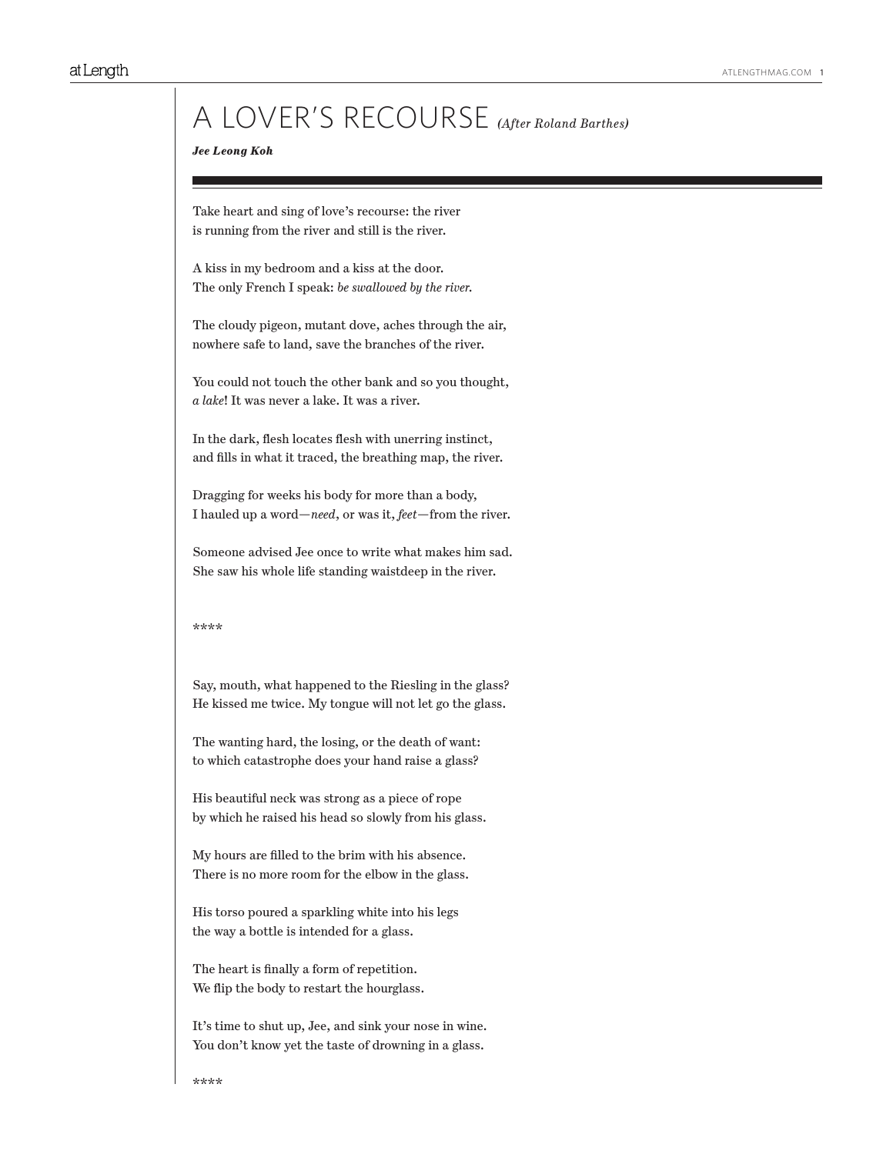# A LOVER'S RECOURSE *(After Roland Barthes)*

## *Jee Leong Koh*

Take heart and sing of love's recourse: the river is running from the river and still is the river.

A kiss in my bedroom and a kiss at the door. The only French I speak: *be swallowed by the river.*

The cloudy pigeon, mutant dove, aches through the air, nowhere safe to land, save the branches of the river.

You could not touch the other bank and so you thought, *a lake*! It was never a lake. It was a river.

In the dark, flesh locates flesh with unerring instinct, and fills in what it traced, the breathing map, the river.

Dragging for weeks his body for more than a body, I hauled up a word—*need*, or was it, *feet*—from the river.

Someone advised Jee once to write what makes him sad. She saw his whole life standing waistdeep in the river.

\*\*\*\*

Say, mouth, what happened to the Riesling in the glass? He kissed me twice. My tongue will not let go the glass.

The wanting hard, the losing, or the death of want: to which catastrophe does your hand raise a glass?

His beautiful neck was strong as a piece of rope by which he raised his head so slowly from his glass.

My hours are filled to the brim with his absence. There is no more room for the elbow in the glass.

His torso poured a sparkling white into his legs the way a bottle is intended for a glass.

The heart is finally a form of repetition. We flip the body to restart the hourglass.

It's time to shut up, Jee, and sink your nose in wine. You don't know yet the taste of drowning in a glass.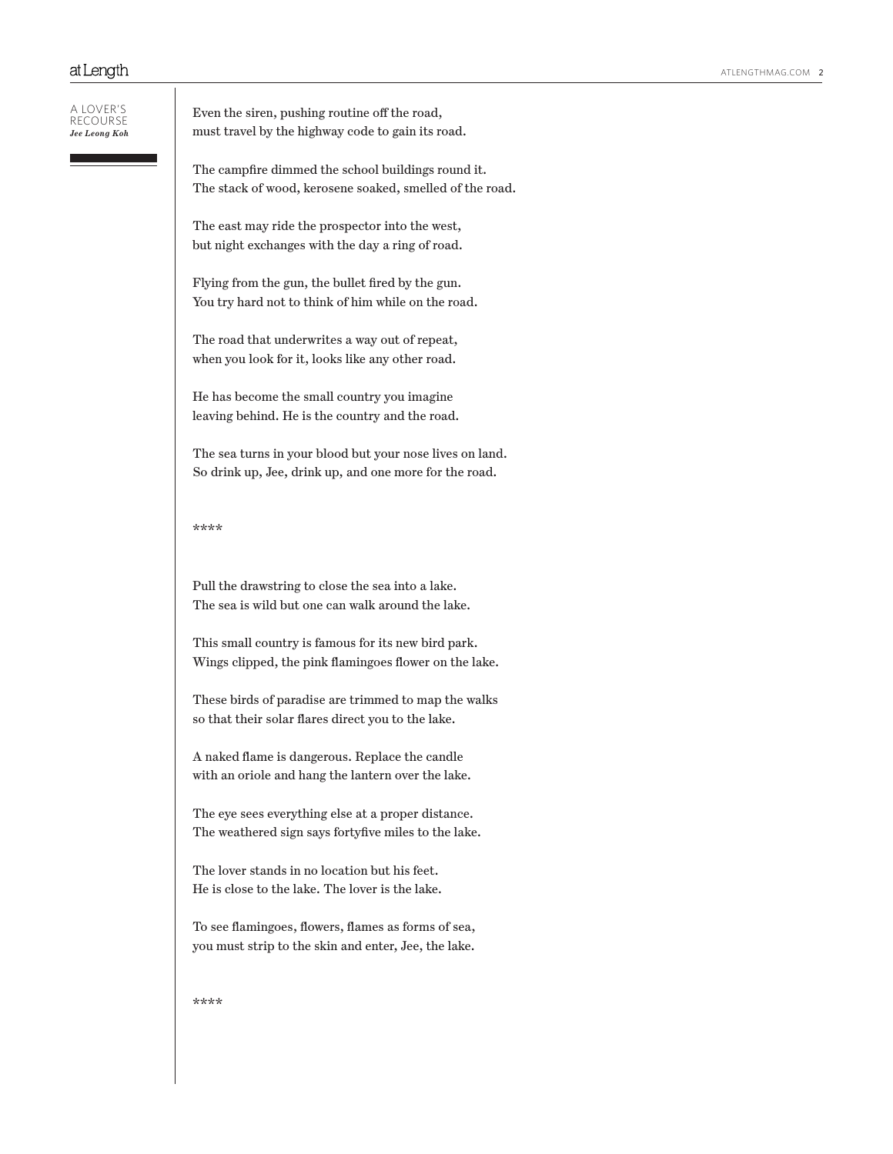| A LOVER'S     |
|---------------|
| RECOURSE      |
| Jee Leong Koh |

Even the siren, pushing routine off the road, must travel by the highway code to gain its road.

The campfire dimmed the school buildings round it. The stack of wood, kerosene soaked, smelled of the road.

The east may ride the prospector into the west, but night exchanges with the day a ring of road.

Flying from the gun, the bullet fired by the gun. You try hard not to think of him while on the road.

The road that underwrites a way out of repeat, when you look for it, looks like any other road.

He has become the small country you imagine leaving behind. He is the country and the road.

The sea turns in your blood but your nose lives on land. So drink up, Jee, drink up, and one more for the road.

\*\*\*\*

Pull the drawstring to close the sea into a lake. The sea is wild but one can walk around the lake.

This small country is famous for its new bird park. Wings clipped, the pink flamingoes flower on the lake.

These birds of paradise are trimmed to map the walks so that their solar flares direct you to the lake.

A naked flame is dangerous. Replace the candle with an oriole and hang the lantern over the lake.

The eye sees everything else at a proper distance. The weathered sign says fortyfive miles to the lake.

The lover stands in no location but his feet. He is close to the lake. The lover is the lake.

To see flamingoes, flowers, flames as forms of sea, you must strip to the skin and enter, Jee, the lake.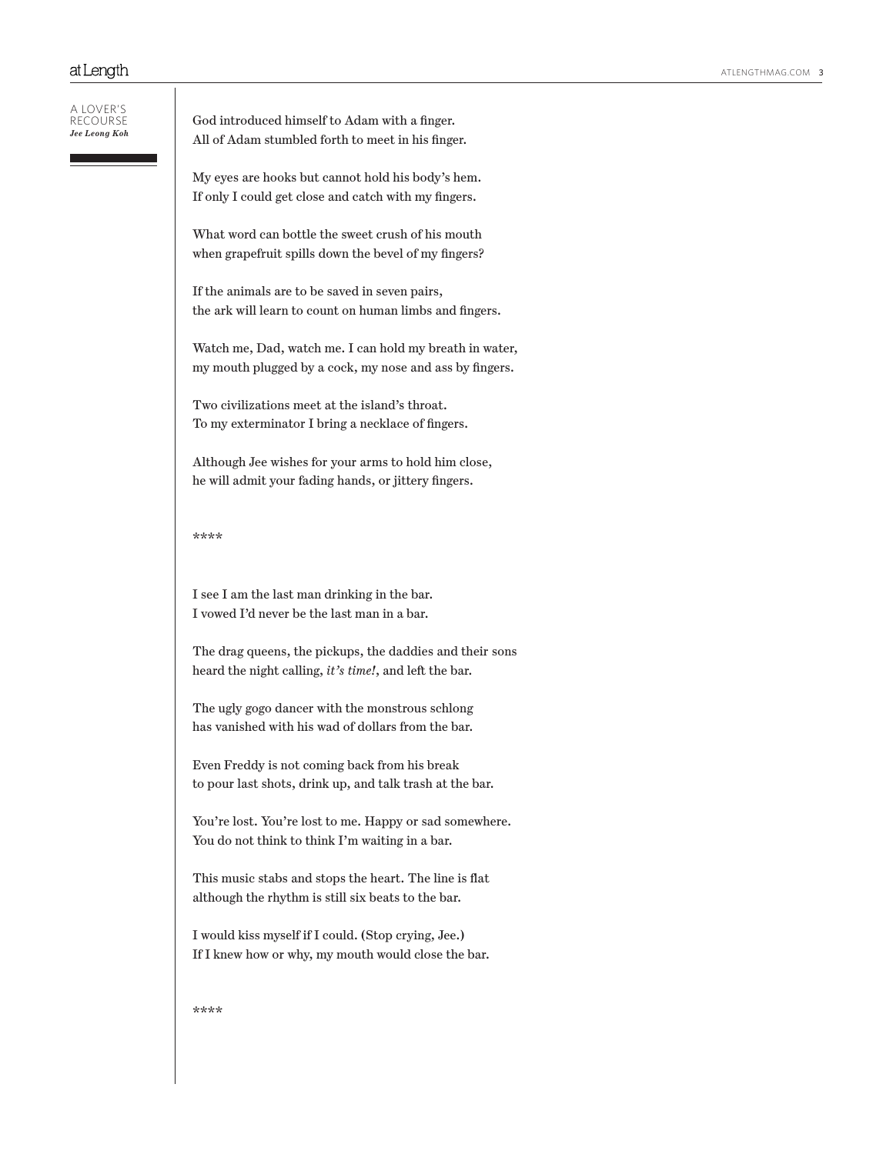#### A lover's recourse *Jee Leong Koh*

God introduced himself to Adam with a finger. All of Adam stumbled forth to meet in his finger.

My eyes are hooks but cannot hold his body's hem. If only I could get close and catch with my fingers.

What word can bottle the sweet crush of his mouth when grapefruit spills down the bevel of my fingers?

If the animals are to be saved in seven pairs, the ark will learn to count on human limbs and fingers.

Watch me, Dad, watch me. I can hold my breath in water, my mouth plugged by a cock, my nose and ass by fingers.

Two civilizations meet at the island's throat. To my exterminator I bring a necklace of fingers.

Although Jee wishes for your arms to hold him close, he will admit your fading hands, or jittery fingers.

\*\*\*\*

I see I am the last man drinking in the bar. I vowed I'd never be the last man in a bar.

The drag queens, the pickups, the daddies and their sons heard the night calling, *it's time!*, and left the bar.

The ugly gogo dancer with the monstrous schlong has vanished with his wad of dollars from the bar.

Even Freddy is not coming back from his break to pour last shots, drink up, and talk trash at the bar.

You're lost. You're lost to me. Happy or sad somewhere. You do not think to think I'm waiting in a bar.

This music stabs and stops the heart. The line is flat although the rhythm is still six beats to the bar.

I would kiss myself if I could. (Stop crying, Jee.) If I knew how or why, my mouth would close the bar.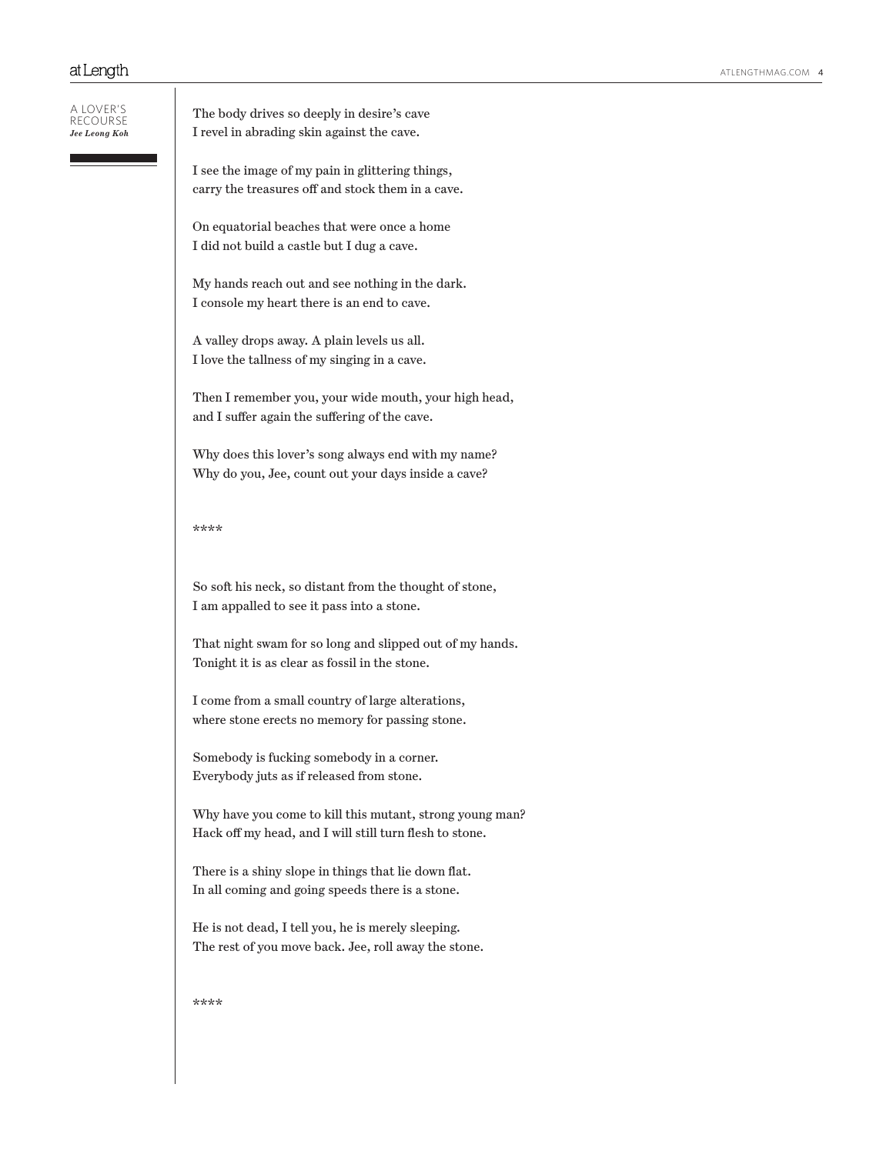| a lover's<br>Jee Leong Koh | The body drives so deeply in desire's cave<br>I revel in abrading skin against the cave.                            |
|----------------------------|---------------------------------------------------------------------------------------------------------------------|
|                            | I see the image of my pain in glittering things,<br>carry the treasures off and stock them in a cave.               |
|                            | On equatorial beaches that were once a home<br>I did not build a castle but I dug a cave.                           |
|                            | My hands reach out and see nothing in the dark.<br>I console my heart there is an end to cave.                      |
|                            | A valley drops away. A plain levels us all.<br>I love the tallness of my singing in a cave.                         |
|                            | Then I remember you, your wide mouth, your high head,<br>and I suffer again the suffering of the cave.              |
|                            | Why does this lover's song always end with my name?<br>Why do you, Jee, count out your days inside a cave?          |
|                            | ****                                                                                                                |
|                            | So soft his neck, so distant from the thought of stone,<br>I am appalled to see it pass into a stone.               |
|                            | That night swam for so long and slipped out of my hands.<br>Tonight it is as clear as fossil in the stone.          |
|                            | I come from a small country of large alterations,<br>where stone erects no memory for passing stone.                |
|                            | Somebody is fucking somebody in a corner.<br>Everybody juts as if released from stone.                              |
|                            | Why have you come to kill this mutant, strong young man?<br>Hack off my head, and I will still turn flesh to stone. |
|                            | There is a shiny slope in things that lie down flat.<br>In all coming and going speeds there is a stone.            |
|                            | He is not dead, I tell you, he is merely sleeping.<br>The rest of you move back. Jee, roll away the stone.          |
|                            | ****                                                                                                                |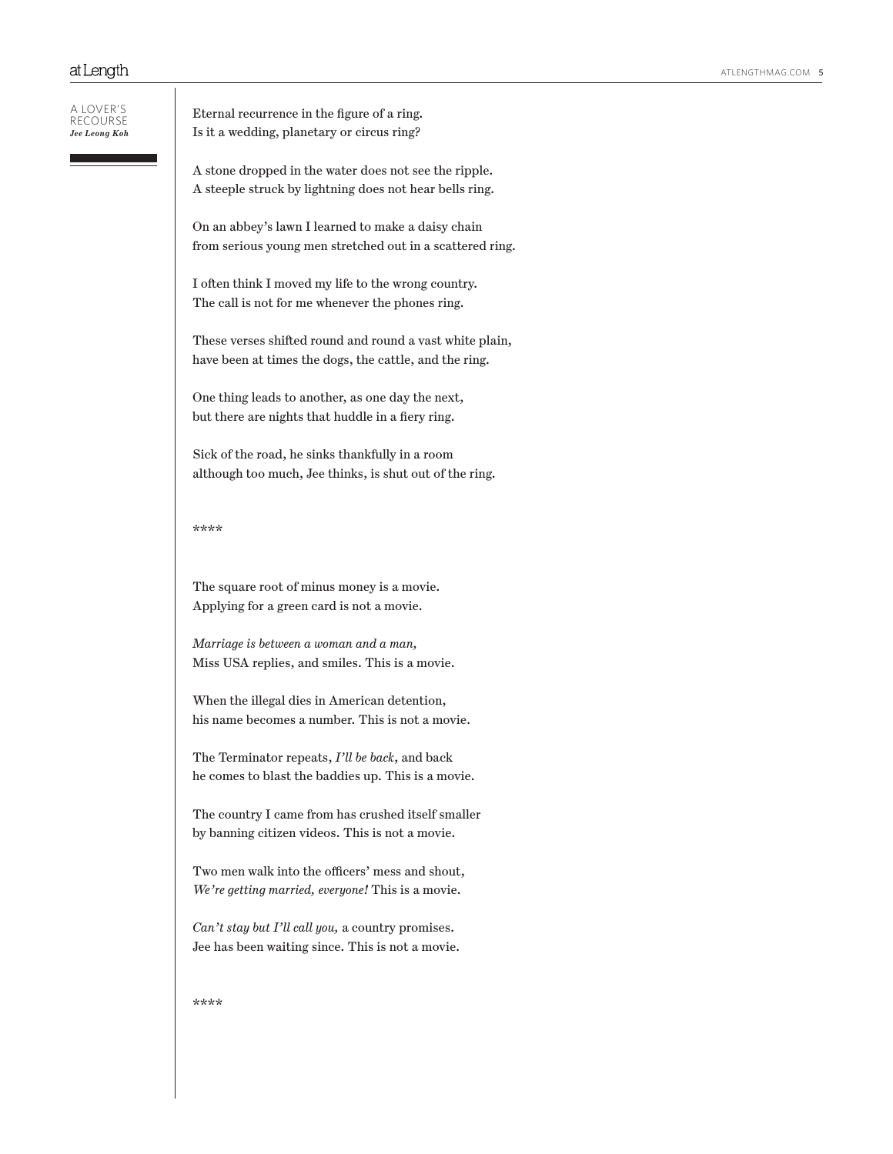| A I OVER'S<br>RECOURSE<br>Jee Leong Koh | Eteri<br>$Is$ it $:$ |
|-----------------------------------------|----------------------|
|                                         | A sto<br>$A$ ste     |
|                                         | On a<br>from         |
|                                         | I ofte<br>The        |

 $\mathbf{I}$ 

nal recurrence in the figure of a ring. a wedding, planetary or circus ring?

one dropped in the water does not see the ripple. eeple struck by lightning does not hear bells ring.

n abbey's lawn I learned to make a daisy chain serious young men stretched out in a scattered ring.

en think I moved my life to the wrong country. call is not for me whenever the phones ring.

These verses shifted round and round a vast white plain, have been at times the dogs, the cattle, and the ring.

One thing leads to another, as one day the next, but there are nights that huddle in a fiery ring.

Sick of the road, he sinks thankfully in a room although too much, Jee thinks, is shut out of the ring.

### \*\*\*\*

The square root of minus money is a movie. Applying for a green card is not a movie.

*Marriage is between a woman and a man,* Miss USA replies, and smiles. This is a movie.

When the illegal dies in American detention, his name becomes a number. This is not a movie.

The Terminator repeats, *I'll be back*, and back he comes to blast the baddies up. This is a movie.

The country I came from has crushed itself smaller by banning citizen videos. This is not a movie.

Two men walk into the officers' mess and shout, *We're getting married, everyone!* This is a movie.

*Can't stay but I'll call you,* a country promises. Jee has been waiting since. This is not a movie.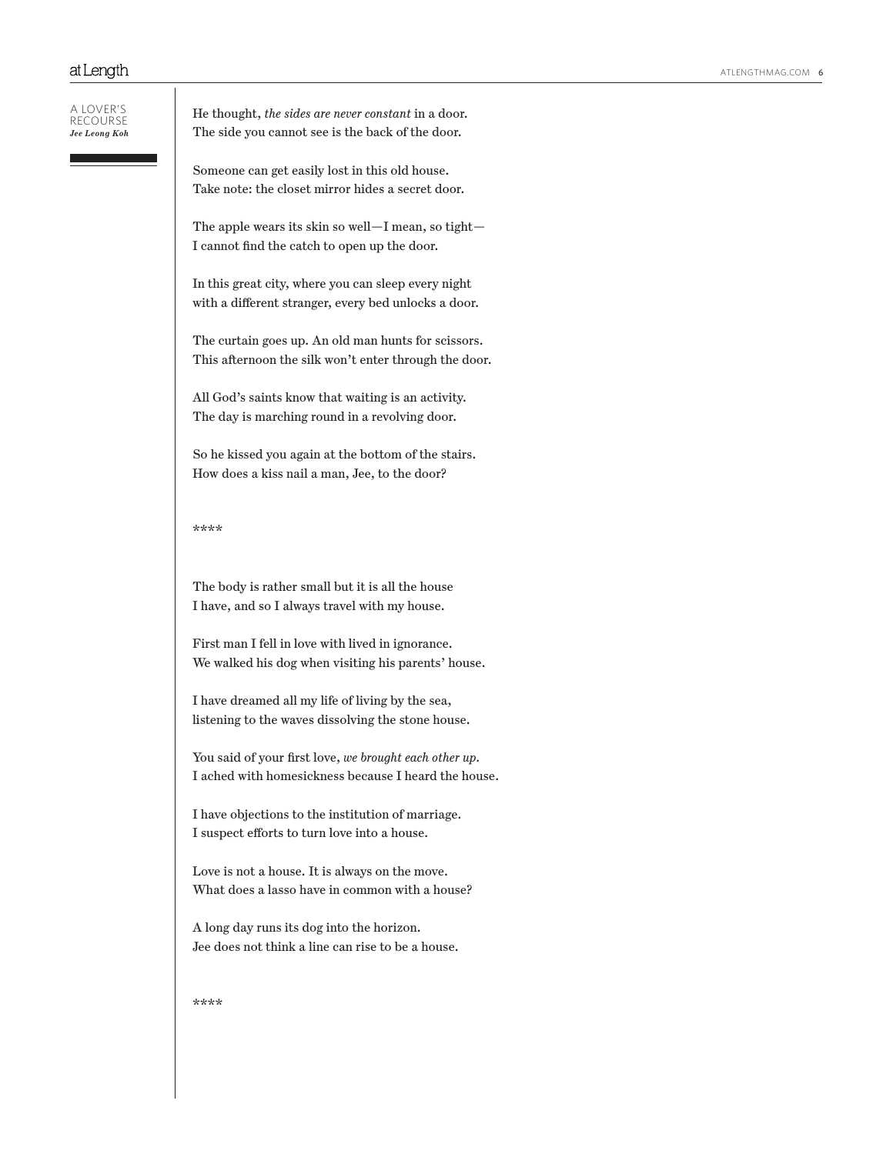#### A lover's recourse *Jee Leong Koh*

He thought, *the sides are never constant* in a door. The side you cannot see is the back of the door.

Someone can get easily lost in this old house. Take note: the closet mirror hides a secret door.

The apple wears its skin so well—I mean, so tight— I cannot find the catch to open up the door.

In this great city, where you can sleep every night with a different stranger, every bed unlocks a door.

The curtain goes up. An old man hunts for scissors. This afternoon the silk won't enter through the door.

All God's saints know that waiting is an activity. The day is marching round in a revolving door.

So he kissed you again at the bottom of the stairs. How does a kiss nail a man, Jee, to the door?

## \*\*\*\*

The body is rather small but it is all the house I have, and so I always travel with my house.

First man I fell in love with lived in ignorance. We walked his dog when visiting his parents' house.

I have dreamed all my life of living by the sea, listening to the waves dissolving the stone house.

You said of your first love, *we brought each other up.* I ached with homesickness because I heard the house.

I have objections to the institution of marriage. I suspect efforts to turn love into a house.

Love is not a house. It is always on the move. What does a lasso have in common with a house?

A long day runs its dog into the horizon. Jee does not think a line can rise to be a house.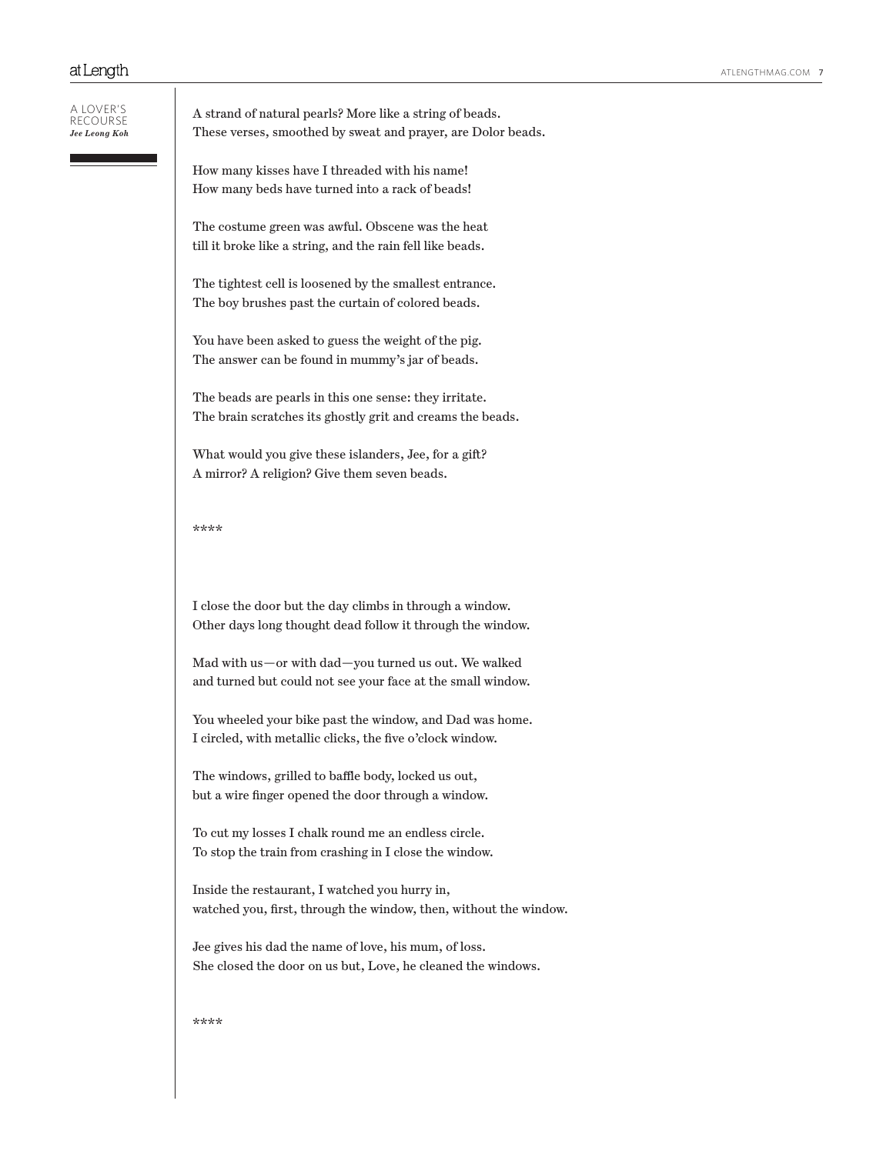| a lover's<br>RECOURSE<br>Jee Leong Koh | A strand of natural pearls? More like a string of beads.<br>These verses, smoothed by sweat and prayer, are Dolor beads. |
|----------------------------------------|--------------------------------------------------------------------------------------------------------------------------|
|                                        | How many kisses have I threaded with his name!<br>How many beds have turned into a rack of beads!                        |
|                                        | The costume green was awful. Obscene was the heat<br>till it broke like a string, and the rain fell like beads.          |
|                                        | The tightest cell is loosened by the smallest entrance.<br>The boy brushes past the curtain of colored beads.            |
|                                        | You have been asked to guess the weight of the pig.<br>The answer can be found in mummy's jar of beads.                  |
|                                        | The beads are pearls in this one sense: they irritate.<br>The brain scratches its ghostly grit and creams the beads.     |
|                                        | What would you give these islanders, Jee, for a gift?<br>A mirror? A religion? Give them seven beads.                    |
|                                        | ****                                                                                                                     |
|                                        | I close the door but the day climbs in through a window.<br>Other days long thought dead follow it through the window.   |
|                                        | Mad with us-or with dad-you turned us out. We walked<br>and turned but could not see your face at the small window.      |
|                                        | You wheeled your bike past the window, and Dad was home.<br>I circled, with metallic clicks, the five o'clock window.    |
|                                        | The windows, grilled to baffle body, locked us out,<br>but a wire finger opened the door through a window.               |
|                                        | To cut my losses I chalk round me an endless circle.<br>To stop the train from crashing in I close the window.           |
|                                        | Inside the restaurant, I watched you hurry in,<br>watched you, first, through the window, then, without the window.      |
|                                        | Jee gives his dad the name of love, his mum, of loss.<br>She closed the door on us but, Love, he cleaned the windows.    |
|                                        | ****                                                                                                                     |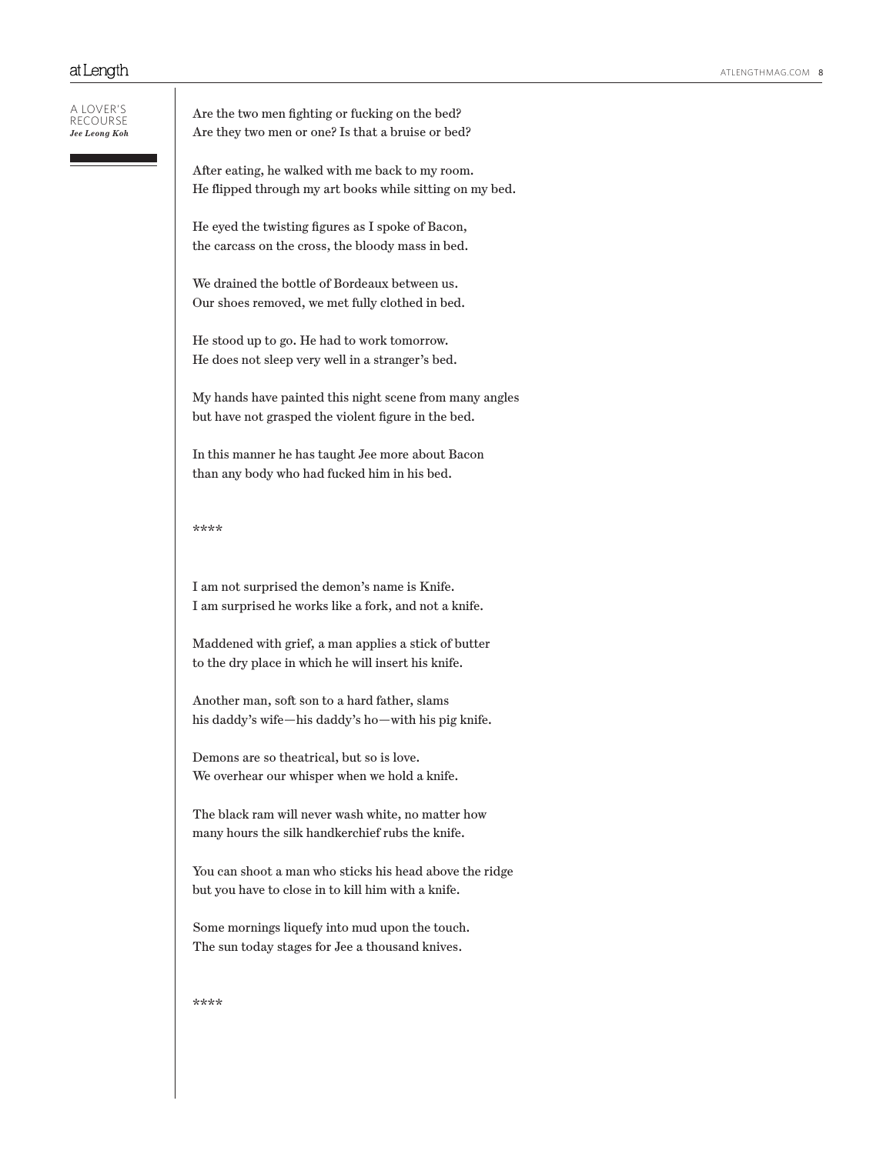#### A lover's recourse *Jee Leong Koh*

Are the two men fighting or fucking on the bed? Are they two men or one? Is that a bruise or bed?

After eating, he walked with me back to my room. He flipped through my art books while sitting on my bed.

He eyed the twisting figures as I spoke of Bacon, the carcass on the cross, the bloody mass in bed.

We drained the bottle of Bordeaux between us. Our shoes removed, we met fully clothed in bed.

He stood up to go. He had to work tomorrow. He does not sleep very well in a stranger's bed.

My hands have painted this night scene from many angles but have not grasped the violent figure in the bed.

In this manner he has taught Jee more about Bacon than any body who had fucked him in his bed.

## \*\*\*\*

I am not surprised the demon's name is Knife. I am surprised he works like a fork, and not a knife.

Maddened with grief, a man applies a stick of butter to the dry place in which he will insert his knife.

Another man, soft son to a hard father, slams his daddy's wife—his daddy's ho—with his pig knife.

Demons are so theatrical, but so is love. We overhear our whisper when we hold a knife.

The black ram will never wash white, no matter how many hours the silk handkerchief rubs the knife.

You can shoot a man who sticks his head above the ridge but you have to close in to kill him with a knife.

Some mornings liquefy into mud upon the touch. The sun today stages for Jee a thousand knives.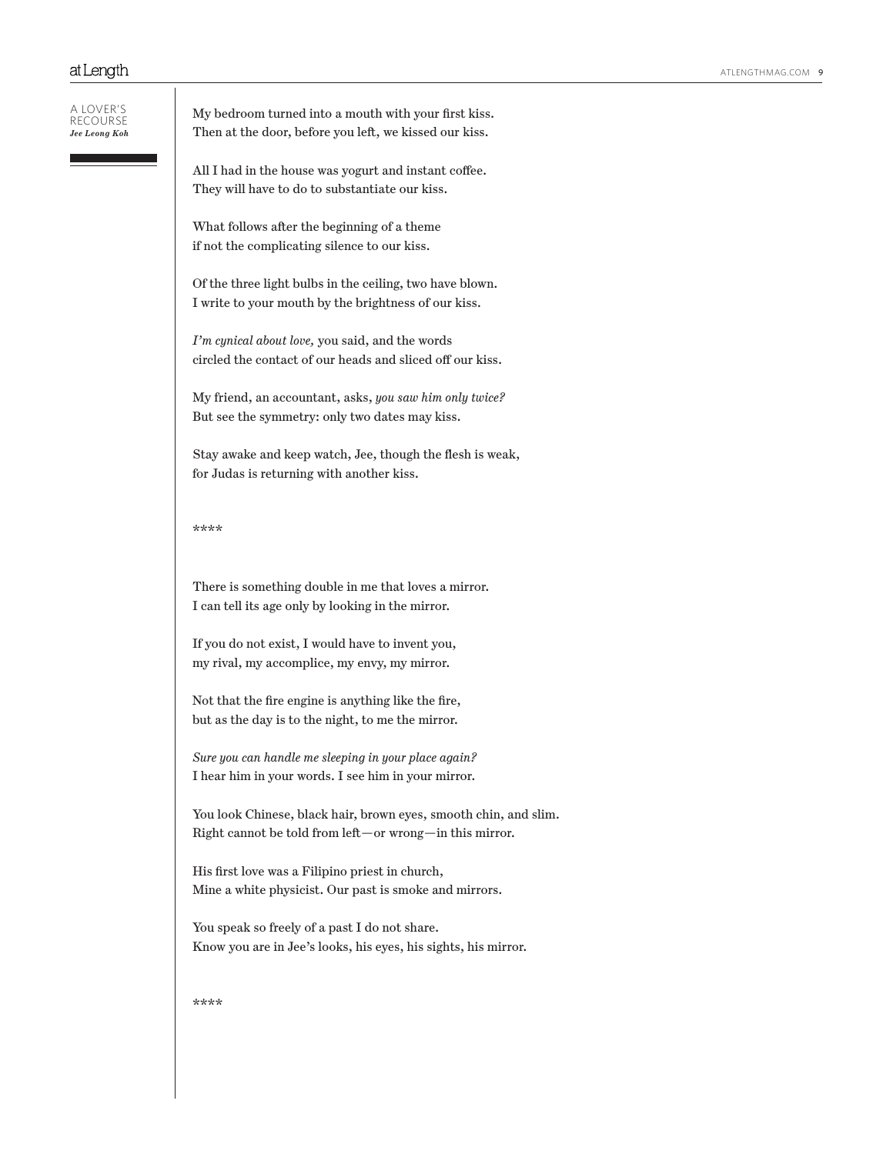A lover's recourse *Jee Leong Koh*

| My bedroom turned into a mouth with your first kiss.   |  |
|--------------------------------------------------------|--|
| Then at the door, before you left, we kissed our kiss. |  |

All I had in the house was yogurt and instant coffee. They will have to do to substantiate our kiss.

What follows after the beginning of a theme if not the complicating silence to our kiss.

Of the three light bulbs in the ceiling, two have blown. I write to your mouth by the brightness of our kiss.

*I'm cynical about love,* you said, and the words circled the contact of our heads and sliced off our kiss.

My friend, an accountant, asks, *you saw him only twice?* But see the symmetry: only two dates may kiss.

Stay awake and keep watch, Jee, though the flesh is weak, for Judas is returning with another kiss.

### \*\*\*\*

There is something double in me that loves a mirror. I can tell its age only by looking in the mirror.

If you do not exist, I would have to invent you, my rival, my accomplice, my envy, my mirror.

Not that the fire engine is anything like the fire, but as the day is to the night, to me the mirror.

*Sure you can handle me sleeping in your place again?* I hear him in your words. I see him in your mirror.

You look Chinese, black hair, brown eyes, smooth chin, and slim. Right cannot be told from left—or wrong—in this mirror.

His first love was a Filipino priest in church, Mine a white physicist. Our past is smoke and mirrors.

You speak so freely of a past I do not share. Know you are in Jee's looks, his eyes, his sights, his mirror.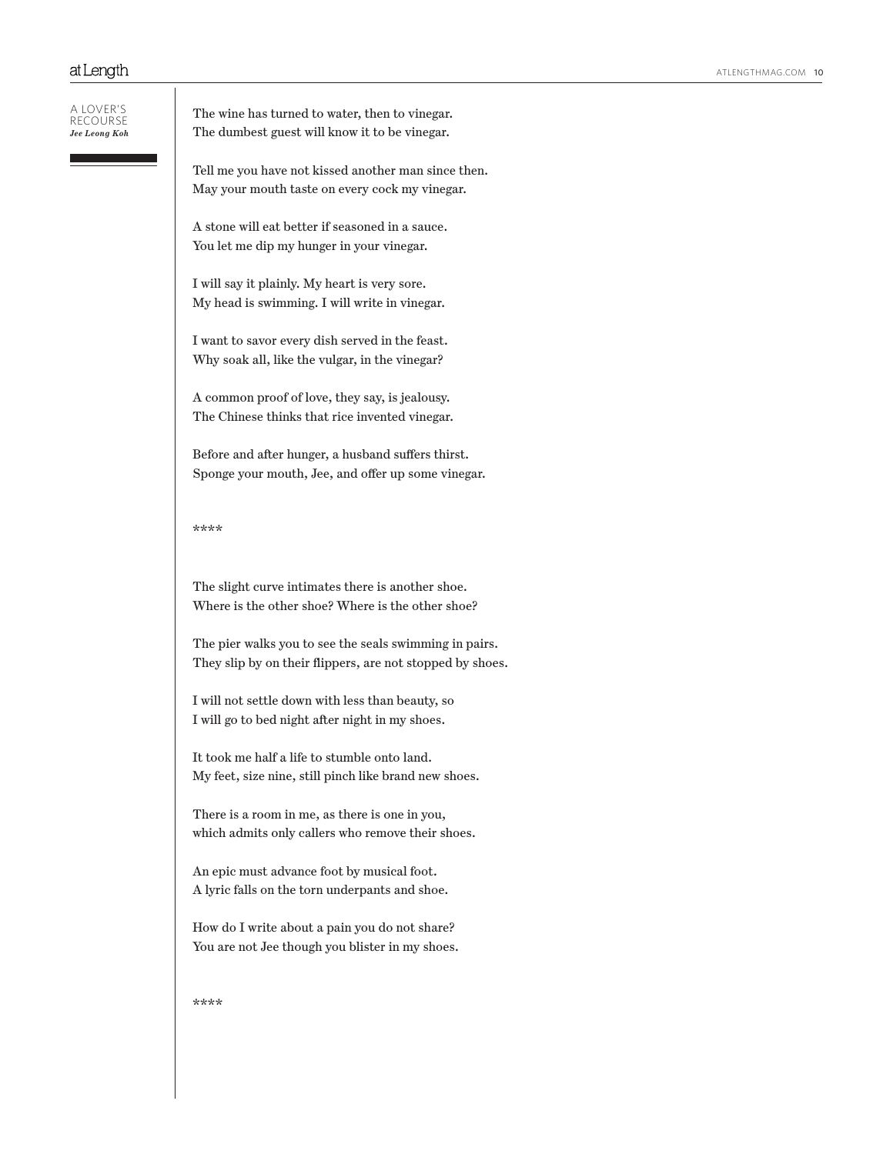| A LOVER'S<br>RECOURSE<br>Jee Leong Koh | The wine has turned to water, then to vinegar.<br>The dumbest guest will know it to be vinegar.                     |
|----------------------------------------|---------------------------------------------------------------------------------------------------------------------|
|                                        | Tell me you have not kissed another man since then.<br>May your mouth taste on every cock my vinegar.               |
|                                        | A stone will eat better if seasoned in a sauce.<br>You let me dip my hunger in your vinegar.                        |
|                                        | I will say it plainly. My heart is very sore.<br>My head is swimming. I will write in vinegar.                      |
|                                        | I want to savor every dish served in the feast.<br>Why soak all, like the vulgar, in the vinegar?                   |
|                                        | A common proof of love, they say, is jealousy.<br>The Chinese thinks that rice invented vinegar.                    |
|                                        | Before and after hunger, a husband suffers thirst.<br>Sponge your mouth, Jee, and offer up some vinegar.            |
|                                        | ****                                                                                                                |
|                                        | The slight curve intimates there is another shoe.<br>Where is the other shoe? Where is the other shoe?              |
|                                        | The pier walks you to see the seals swimming in pairs.<br>They slip by on their flippers, are not stopped by shoes. |
|                                        | I will not settle down with less than beauty, so<br>I will go to bed night after night in my shoes.                 |
|                                        | It took me half a life to stumble onto land.<br>My feet, size nine, still pinch like brand new shoes.               |
|                                        | There is a room in me, as there is one in you,<br>which admits only callers who remove their shoes.                 |
|                                        | An epic must advance foot by musical foot.<br>A lyric falls on the torn underpants and shoe.                        |
|                                        | How do I write about a pain you do not share?<br>You are not Jee though you blister in my shoes.                    |
|                                        | ****                                                                                                                |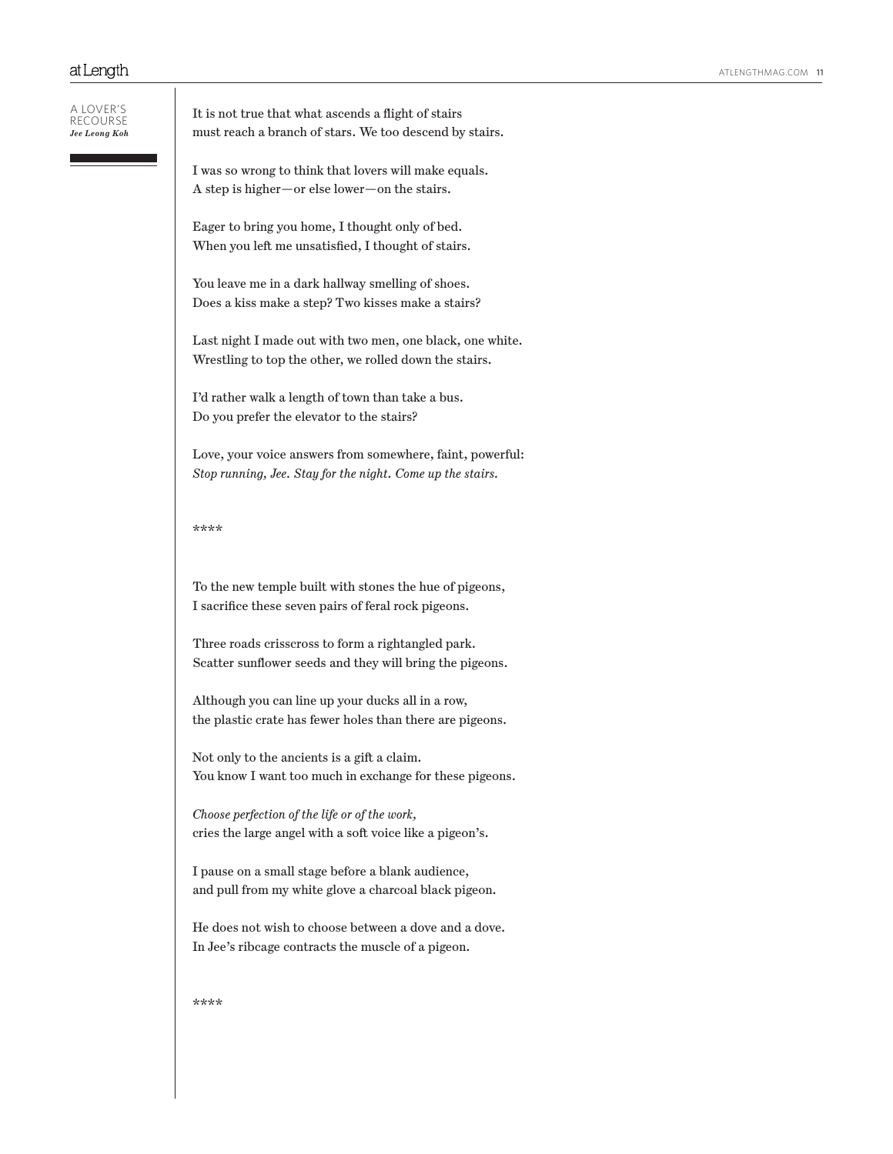| Jee Leong Koh | It is not true that what ascends a flight of stairs<br>must reach a branch of stars. We too descend by stairs.          |
|---------------|-------------------------------------------------------------------------------------------------------------------------|
|               | I was so wrong to think that lovers will make equals.<br>A step is higher—or else lower—on the stairs.                  |
|               | Eager to bring you home, I thought only of bed.<br>When you left me unsatisfied, I thought of stairs.                   |
|               | You leave me in a dark hallway smelling of shoes.<br>Does a kiss make a step? Two kisses make a stairs?                 |
|               | Last night I made out with two men, one black, one white.<br>Wrestling to top the other, we rolled down the stairs.     |
|               | I'd rather walk a length of town than take a bus.<br>Do you prefer the elevator to the stairs?                          |
|               | Love, your voice answers from somewhere, faint, powerful:<br>Stop running, Jee. Stay for the night. Come up the stairs. |
|               | ****                                                                                                                    |
|               | To the new temple built with stones the hue of pigeons,<br>I sacrifice these seven pairs of feral rock pigeons.         |
|               | Three roads crisscross to form a rightangled park.<br>Scatter sunflower seeds and they will bring the pigeons.          |
|               | Although you can line up your ducks all in a row,<br>the plastic crate has fewer holes than there are pigeons.          |
|               | Not only to the ancients is a gift a claim.<br>You know I want too much in exchange for these pigeons.                  |
|               | Choose perfection of the life or of the work,<br>cries the large angel with a soft voice like a pigeon's.               |
|               | I pause on a small stage before a blank audience,<br>and pull from my white glove a charcoal black pigeon.              |
|               | He does not wish to choose between a dove and a dove.<br>In Jee's ribcage contracts the muscle of a pigeon.             |
|               | ****                                                                                                                    |
|               |                                                                                                                         |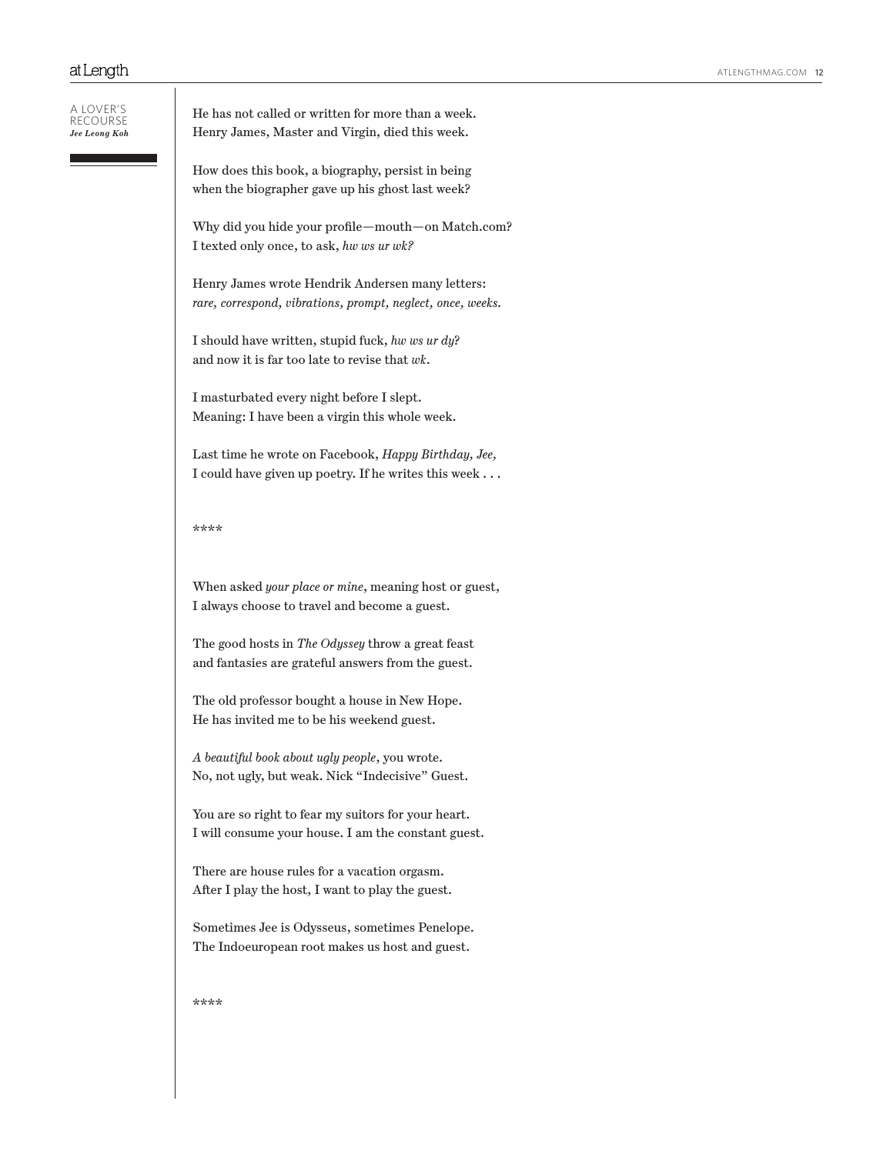| a lover's<br>RFCOURSE<br>Jee Leong Koh | He has not called or written for more than a week.<br>Henry James, Master and Virgin, died this week.                |
|----------------------------------------|----------------------------------------------------------------------------------------------------------------------|
|                                        | How does this book, a biography, persist in being<br>when the biographer gave up his ghost last week?                |
|                                        | Why did you hide your profile—mouth—on Match.com?<br>I texted only once, to ask, hw ws ur wk?                        |
|                                        | Henry James wrote Hendrik Andersen many letters:<br>rare, correspond, vibrations, prompt, neglect, once, weeks.      |
|                                        | I should have written, stupid fuck, hw ws ur dy?<br>and now it is far too late to revise that wk.                    |
|                                        | I masturbated every night before I slept.<br>Meaning: I have been a virgin this whole week.                          |
|                                        | Last time he wrote on Facebook, Happy Birthday, Jee,<br>I could have given up poetry. If he writes this week $\dots$ |
|                                        | ****                                                                                                                 |
|                                        | When asked <i>your place or mine</i> , meaning host or guest,<br>I always choose to travel and become a guest.       |
|                                        | The good hosts in The Odyssey throw a great feast<br>and fantasies are grateful answers from the guest.              |
|                                        | The old professor bought a house in New Hope.<br>He has invited me to be his weekend guest.                          |
|                                        | A beautiful book about ugly people, you wrote.<br>No, not ugly, but weak. Nick "Indecisive" Guest.                   |
|                                        | You are so right to fear my suitors for your heart.<br>I will consume your house. I am the constant guest.           |
|                                        | There are house rules for a vacation orgasm.<br>After I play the host, I want to play the guest.                     |
|                                        | Sometimes Jee is Odysseus, sometimes Penelope.<br>The Indoeuropean root makes us host and guest.                     |
|                                        | ****                                                                                                                 |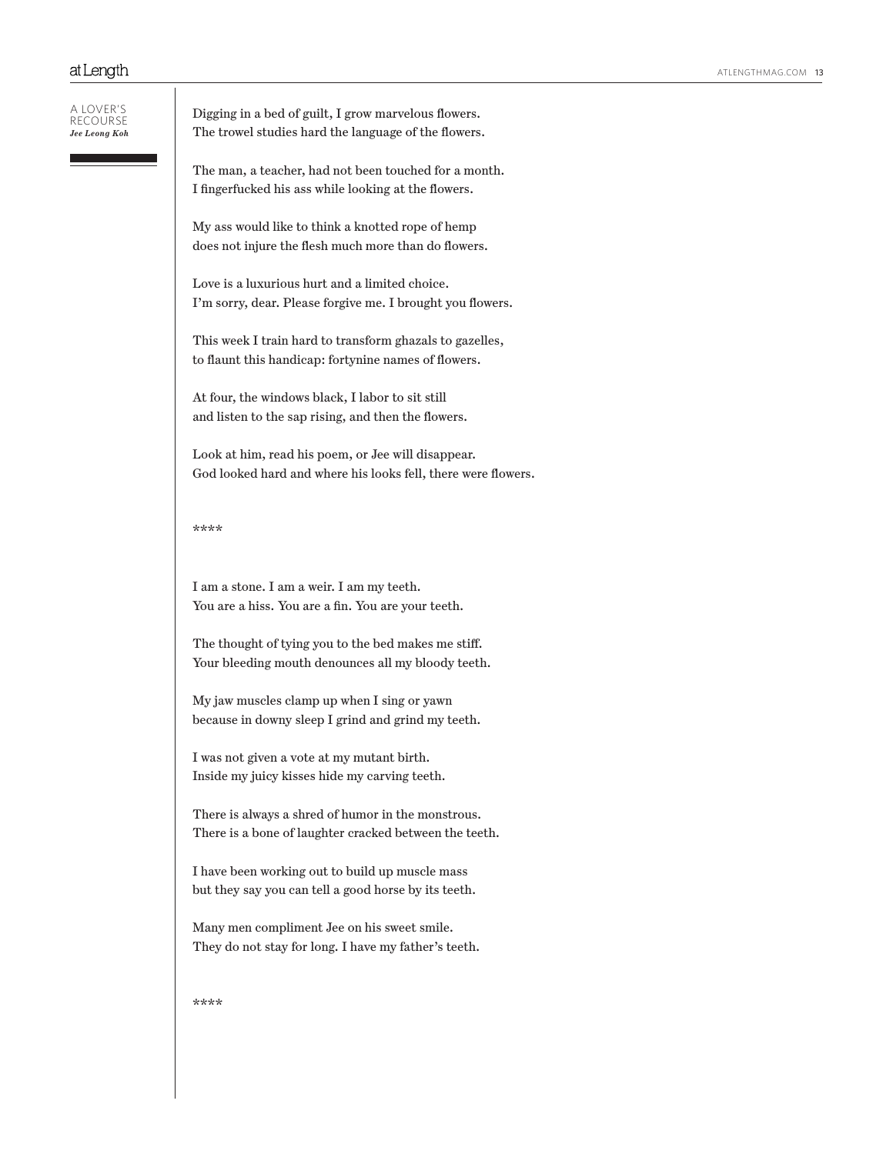| A LOVER'S<br>RFCOURSE<br>Jee Leong Koh | Digging in a bed of guilt, I grow marvelous flowers.<br>The trowel studies hard the language of the flowers.        |
|----------------------------------------|---------------------------------------------------------------------------------------------------------------------|
|                                        | The man, a teacher, had not been touched for a month.<br>I fingerfucked his ass while looking at the flowers.       |
|                                        | My ass would like to think a knotted rope of hemp<br>does not injure the flesh much more than do flowers.           |
|                                        | Love is a luxurious hurt and a limited choice.<br>I'm sorry, dear. Please forgive me. I brought you flowers.        |
|                                        | This week I train hard to transform ghazals to gazelles,<br>to flaunt this handicap: fortynine names of flowers.    |
|                                        | At four, the windows black, I labor to sit still<br>and listen to the sap rising, and then the flowers.             |
|                                        | Look at him, read his poem, or Jee will disappear.<br>God looked hard and where his looks fell, there were flowers. |
|                                        | ****                                                                                                                |
|                                        | I am a stone. I am a weir. I am my teeth.<br>You are a hiss. You are a fin. You are your teeth.                     |
|                                        | The thought of tying you to the bed makes me stiff.<br>Your bleeding mouth denounces all my bloody teeth.           |
|                                        | My jaw muscles clamp up when I sing or yawn<br>because in downy sleep I grind and grind my teeth.                   |
|                                        | I was not given a vote at my mutant birth.<br>Inside my juicy kisses hide my carving teeth.                         |
|                                        | There is always a shred of humor in the monstrous.<br>There is a bone of laughter cracked between the teeth.        |
|                                        | I have been working out to build up muscle mass<br>but they say you can tell a good horse by its teeth.             |
|                                        | Many men compliment Jee on his sweet smile.<br>They do not stay for long. I have my father's teeth.                 |
|                                        | ****                                                                                                                |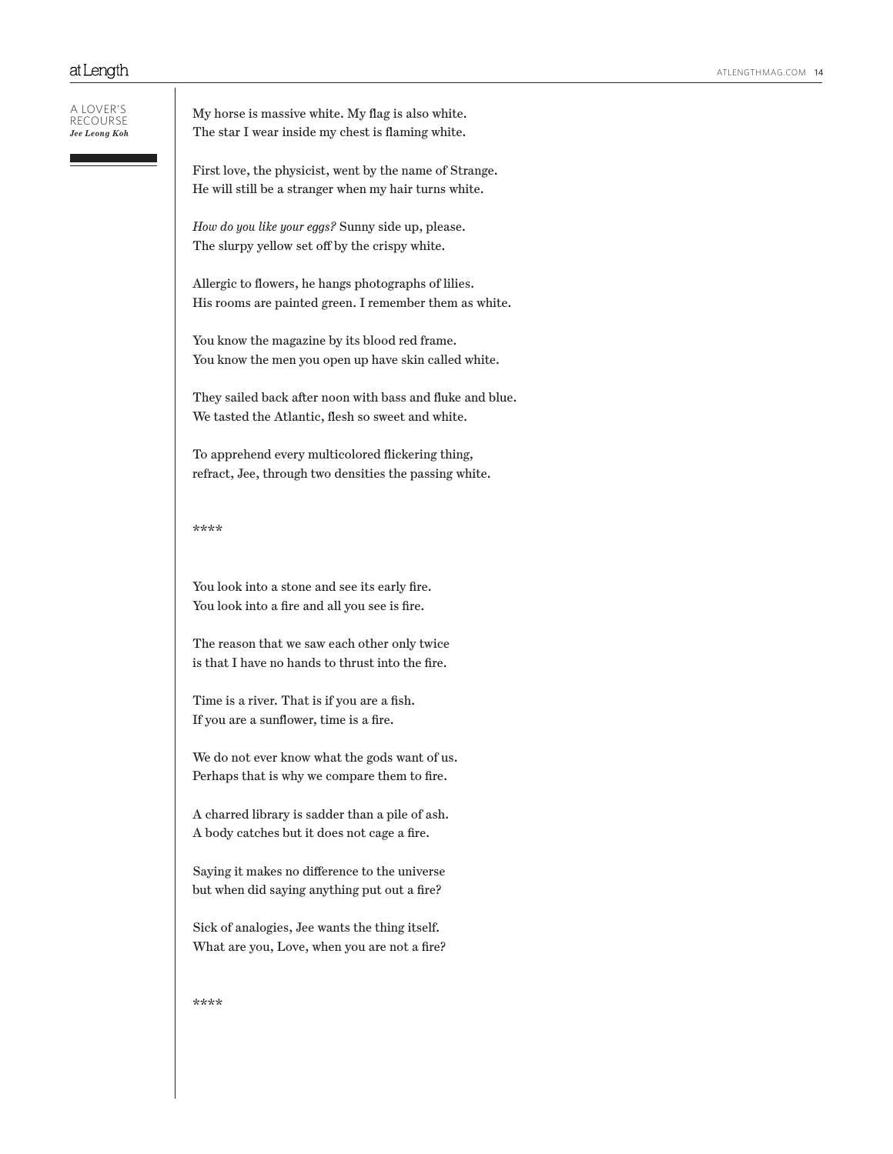| A LOVER'S     |
|---------------|
| RECOURSE      |
| Jee Leong Koh |

My horse is massive white. My flag is also white. The star I wear inside my chest is flaming white.

First love, the physicist, went by the name of Strange. He will still be a stranger when my hair turns white.

*How do you like your eggs?* Sunny side up, please. The slurpy yellow set off by the crispy white.

Allergic to flowers, he hangs photographs of lilies. His rooms are painted green. I remember them as white.

You know the magazine by its blood red frame. You know the men you open up have skin called white.

They sailed back after noon with bass and fluke and blue. We tasted the Atlantic, flesh so sweet and white.

To apprehend every multicolored flickering thing, refract, Jee, through two densities the passing white.

### \*\*\*\*

You look into a stone and see its early fire. You look into a fire and all you see is fire.

The reason that we saw each other only twice is that I have no hands to thrust into the fire.

Time is a river. That is if you are a fish. If you are a sunflower, time is a fire.

We do not ever know what the gods want of us. Perhaps that is why we compare them to fire.

A charred library is sadder than a pile of ash. A body catches but it does not cage a fire.

Saying it makes no difference to the universe but when did saying anything put out a fire?

Sick of analogies, Jee wants the thing itself. What are you, Love, when you are not a fire?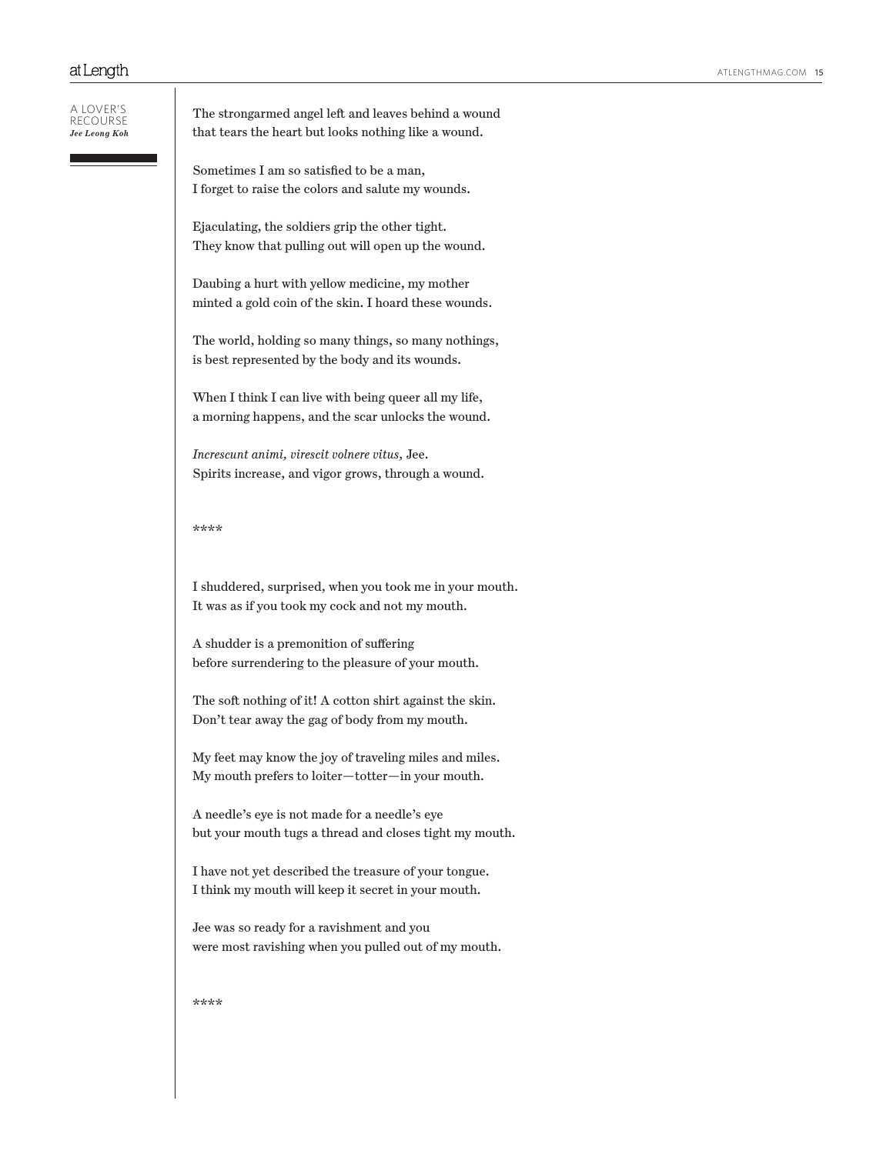| a lover's<br>Jee Leong Koh | The strongarmed angel left and leaves behind a wound<br>that tears the heart but looks nothing like a wound. |
|----------------------------|--------------------------------------------------------------------------------------------------------------|
|                            | Sometimes I am so satisfied to be a man,<br>I forget to raise the colors and salute my wounds.               |
|                            | Ejaculating, the soldiers grip the other tight.<br>They know that pulling out will open up the wound.        |
|                            | Daubing a hurt with yellow medicine, my mother<br>minted a gold coin of the skin. I hoard these wounds.      |
|                            | The world, holding so many things, so many nothings,<br>is best represented by the body and its wounds.      |
|                            | When I think I can live with being queer all my life,<br>a morning happens, and the scar unlocks the wound.  |
|                            | Increscunt animi, virescit volnere vitus, Jee.<br>Spirits increase, and vigor grows, through a wound.        |
|                            | ****                                                                                                         |
|                            | I shuddered, surprised, when you took me in your mouth.<br>It was as if you took my cock and not my mouth.   |
|                            | A shudder is a premonition of suffering<br>before surrendering to the pleasure of your mouth.                |
|                            | The soft nothing of it! A cotton shirt against the skin.<br>Don't tear away the gag of body from my mouth.   |
|                            | My feet may know the joy of traveling miles and miles.<br>My mouth prefers to loiter—totter—in your mouth.   |
|                            | A needle's eye is not made for a needle's eye<br>but your mouth tugs a thread and closes tight my mouth.     |
|                            | I have not yet described the treasure of your tongue.<br>I think my mouth will keep it secret in your mouth. |
|                            | Jee was so ready for a ravishment and you<br>were most ravishing when you pulled out of my mouth.            |
|                            | ****                                                                                                         |
|                            |                                                                                                              |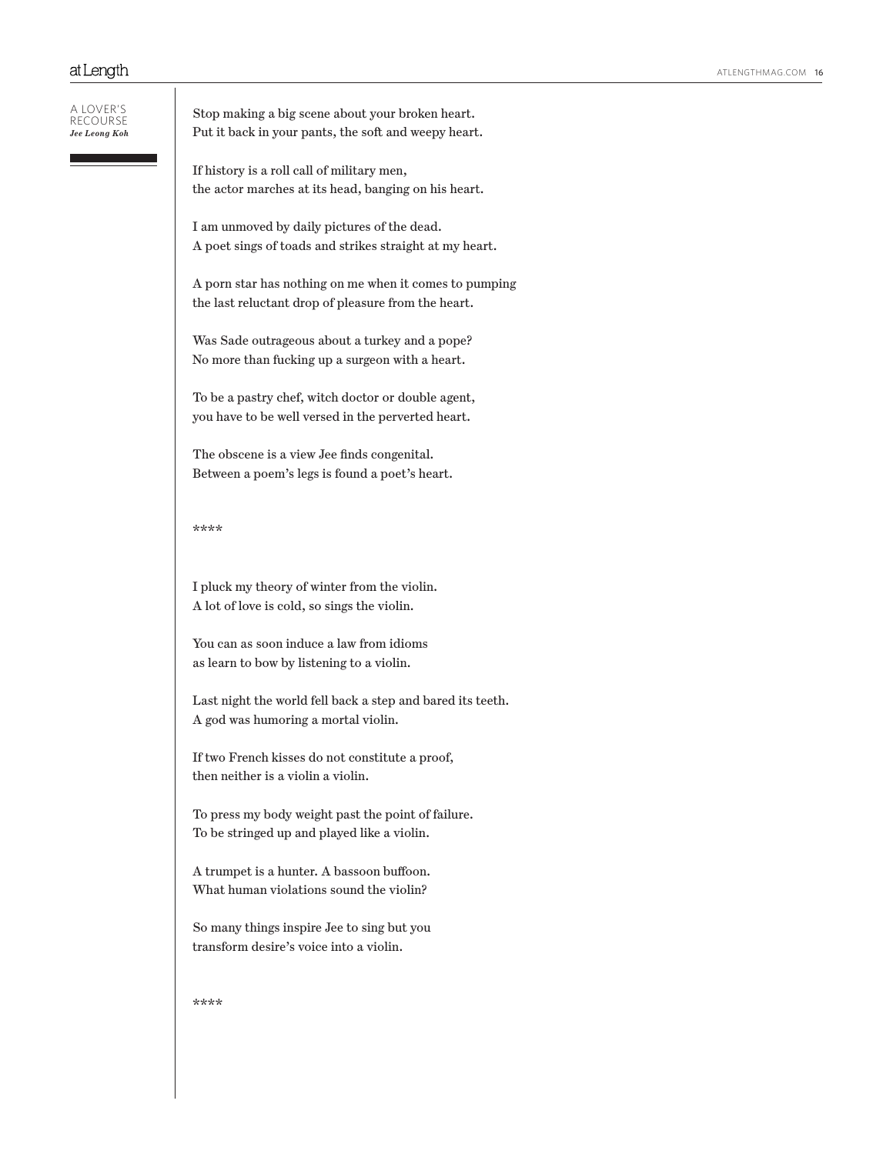#### A lover's recourse *Jee Leong Koh*

Stop making a big scene about your broken heart. Put it back in your pants, the soft and weepy heart.

If history is a roll call of military men, the actor marches at its head, banging on his heart.

I am unmoved by daily pictures of the dead. A poet sings of toads and strikes straight at my heart.

A porn star has nothing on me when it comes to pumping the last reluctant drop of pleasure from the heart.

Was Sade outrageous about a turkey and a pope? No more than fucking up a surgeon with a heart.

To be a pastry chef, witch doctor or double agent, you have to be well versed in the perverted heart.

The obscene is a view Jee finds congenital. Between a poem's legs is found a poet's heart.

## \*\*\*\*

I pluck my theory of winter from the violin. A lot of love is cold, so sings the violin.

You can as soon induce a law from idioms as learn to bow by listening to a violin.

Last night the world fell back a step and bared its teeth. A god was humoring a mortal violin.

If two French kisses do not constitute a proof, then neither is a violin a violin.

To press my body weight past the point of failure. To be stringed up and played like a violin.

A trumpet is a hunter. A bassoon buffoon. What human violations sound the violin?

So many things inspire Jee to sing but you transform desire's voice into a violin.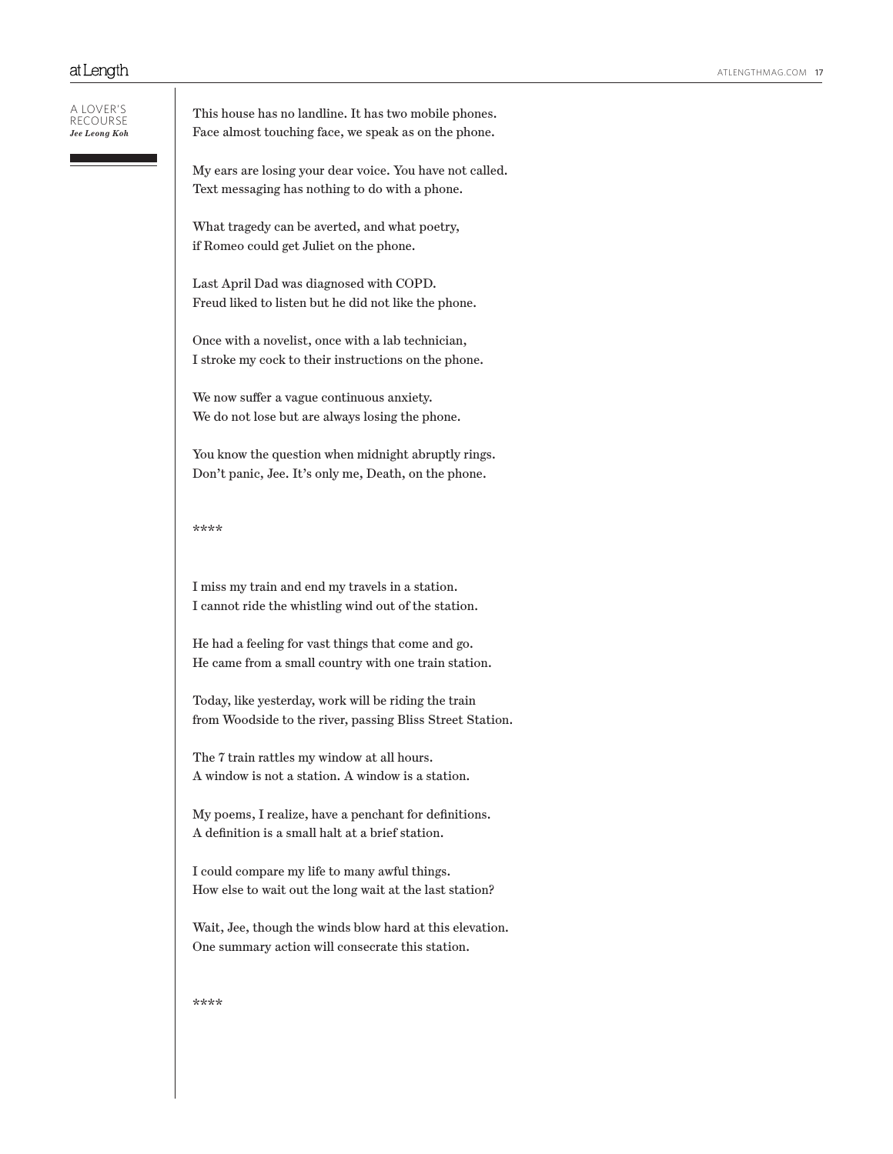| a lover's<br>RFCOURSE<br>Jee Leong Koh | This house has no landline. It has two mobile phones.<br>Face almost touching face, we speak as on the phone.     |
|----------------------------------------|-------------------------------------------------------------------------------------------------------------------|
|                                        | My ears are losing your dear voice. You have not called.<br>Text messaging has nothing to do with a phone.        |
|                                        | What tragedy can be averted, and what poetry,<br>if Romeo could get Juliet on the phone.                          |
|                                        | Last April Dad was diagnosed with COPD.<br>Freud liked to listen but he did not like the phone.                   |
|                                        | Once with a novelist, once with a lab technician,<br>I stroke my cock to their instructions on the phone.         |
|                                        | We now suffer a vague continuous anxiety.<br>We do not lose but are always losing the phone.                      |
|                                        | You know the question when midnight abruptly rings.<br>Don't panic, Jee. It's only me, Death, on the phone.       |
|                                        | ****                                                                                                              |
|                                        | I miss my train and end my travels in a station.<br>I cannot ride the whistling wind out of the station.          |
|                                        | He had a feeling for vast things that come and go.<br>He came from a small country with one train station.        |
|                                        | Today, like yesterday, work will be riding the train<br>from Woodside to the river, passing Bliss Street Station. |
|                                        | The 7 train rattles my window at all hours.<br>A window is not a station. A window is a station.                  |

My poems, I realize, have a penchant for definitions. A definition is a small halt at a brief station.

I could compare my life to many awful things. How else to wait out the long wait at the last station?

Wait, Jee, though the winds blow hard at this elevation. One summary action will consecrate this station.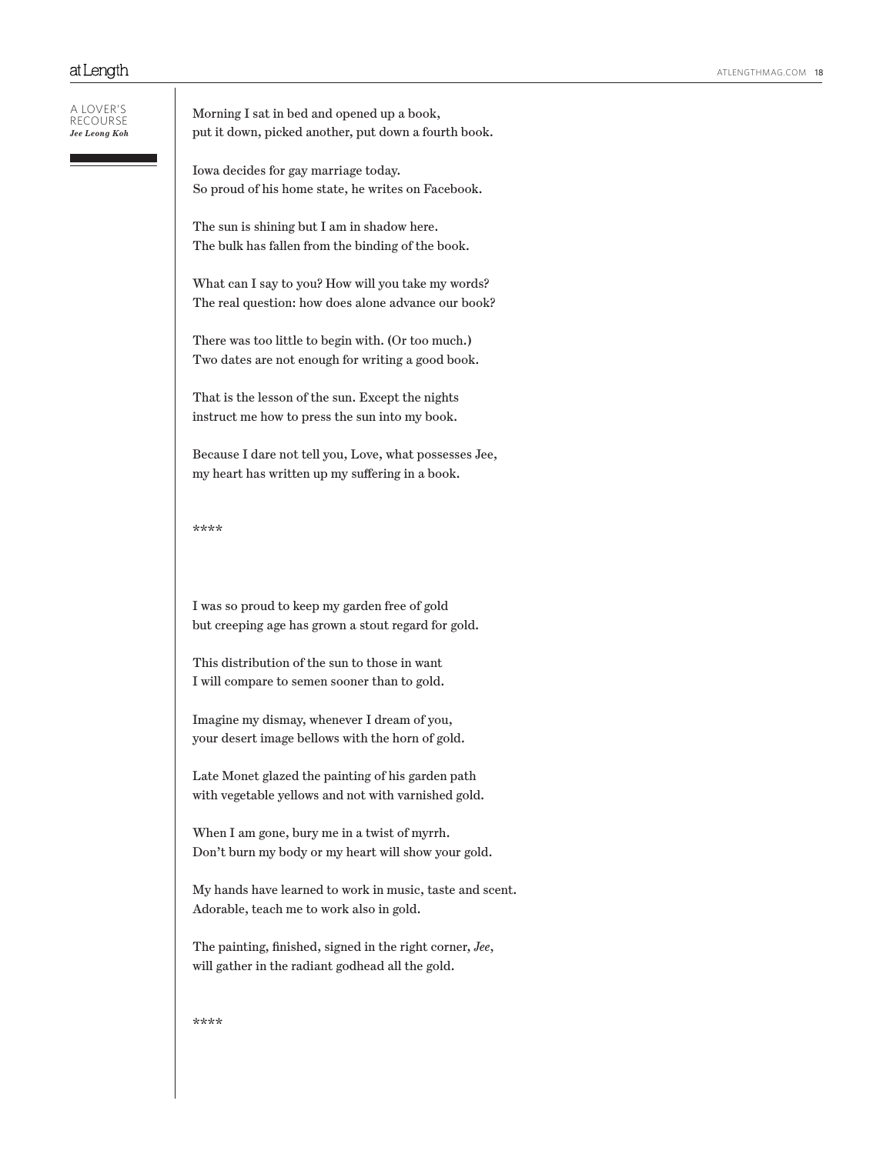#### A lover's recourse *Jee Leong Koh*

Morning I sat in bed and opened up a book, put it down, picked another, put down a fourth book.

Iowa decides for gay marriage today. So proud of his home state, he writes on Facebook.

The sun is shining but I am in shadow here. The bulk has fallen from the binding of the book.

What can I say to you? How will you take my words? The real question: how does alone advance our book?

There was too little to begin with. (Or too much.) Two dates are not enough for writing a good book.

That is the lesson of the sun. Except the nights instruct me how to press the sun into my book.

Because I dare not tell you, Love, what possesses Jee, my heart has written up my suffering in a book.

\*\*\*\*

I was so proud to keep my garden free of gold but creeping age has grown a stout regard for gold.

This distribution of the sun to those in want I will compare to semen sooner than to gold.

Imagine my dismay, whenever I dream of you, your desert image bellows with the horn of gold.

Late Monet glazed the painting of his garden path with vegetable yellows and not with varnished gold.

When I am gone, bury me in a twist of myrrh. Don't burn my body or my heart will show your gold.

My hands have learned to work in music, taste and scent. Adorable, teach me to work also in gold.

The painting, finished, signed in the right corner, *Jee*, will gather in the radiant godhead all the gold.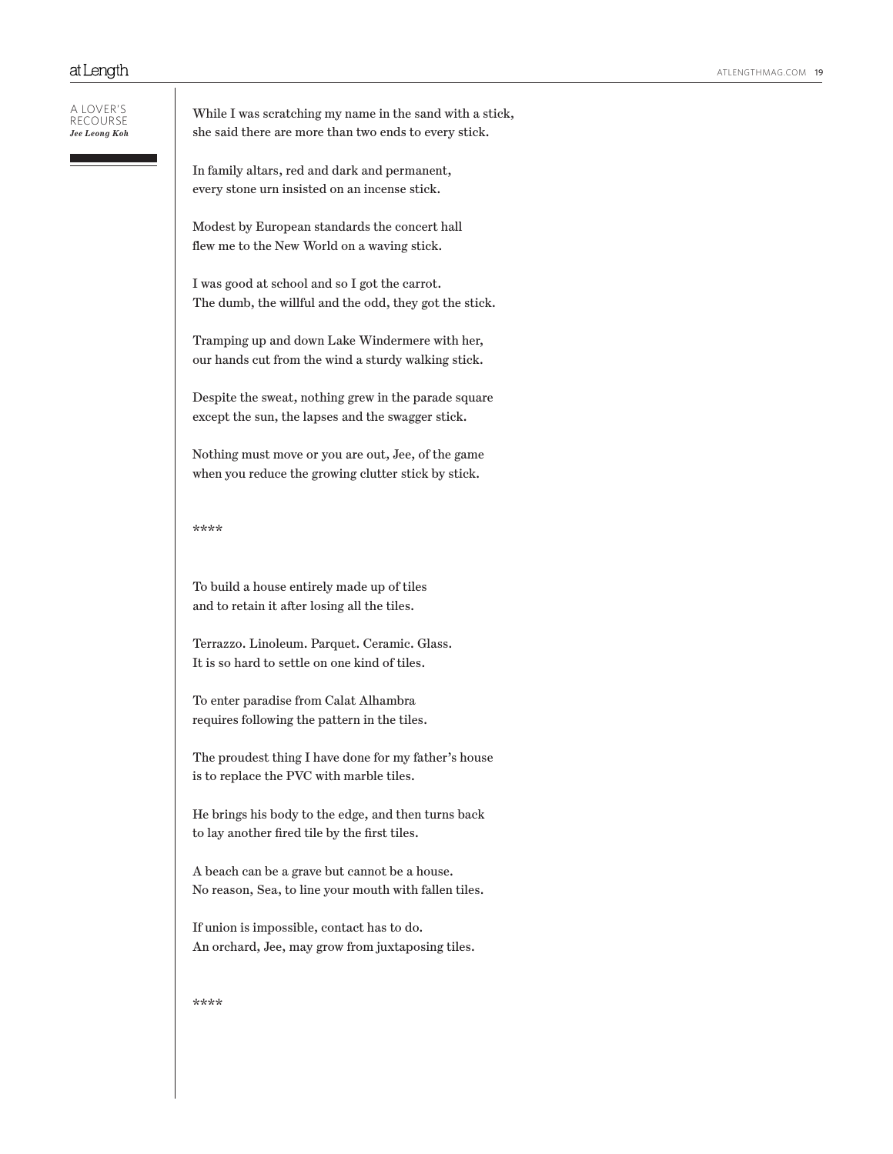A lover's recourse *Jee Leong Koh*

## While I was scratching my name in the sand with a stick, she said there are more than two ends to every stick.

In family altars, red and dark and permanent, every stone urn insisted on an incense stick.

Modest by European standards the concert hall flew me to the New World on a waving stick.

I was good at school and so I got the carrot. The dumb, the willful and the odd, they got the stick.

Tramping up and down Lake Windermere with her, our hands cut from the wind a sturdy walking stick.

Despite the sweat, nothing grew in the parade square except the sun, the lapses and the swagger stick.

Nothing must move or you are out, Jee, of the game when you reduce the growing clutter stick by stick.

\*\*\*\*

To build a house entirely made up of tiles and to retain it after losing all the tiles.

Terrazzo. Linoleum. Parquet. Ceramic. Glass. It is so hard to settle on one kind of tiles.

To enter paradise from Calat Alhambra requires following the pattern in the tiles.

The proudest thing I have done for my father's house is to replace the PVC with marble tiles.

He brings his body to the edge, and then turns back to lay another fired tile by the first tiles.

A beach can be a grave but cannot be a house. No reason, Sea, to line your mouth with fallen tiles.

If union is impossible, contact has to do. An orchard, Jee, may grow from juxtaposing tiles.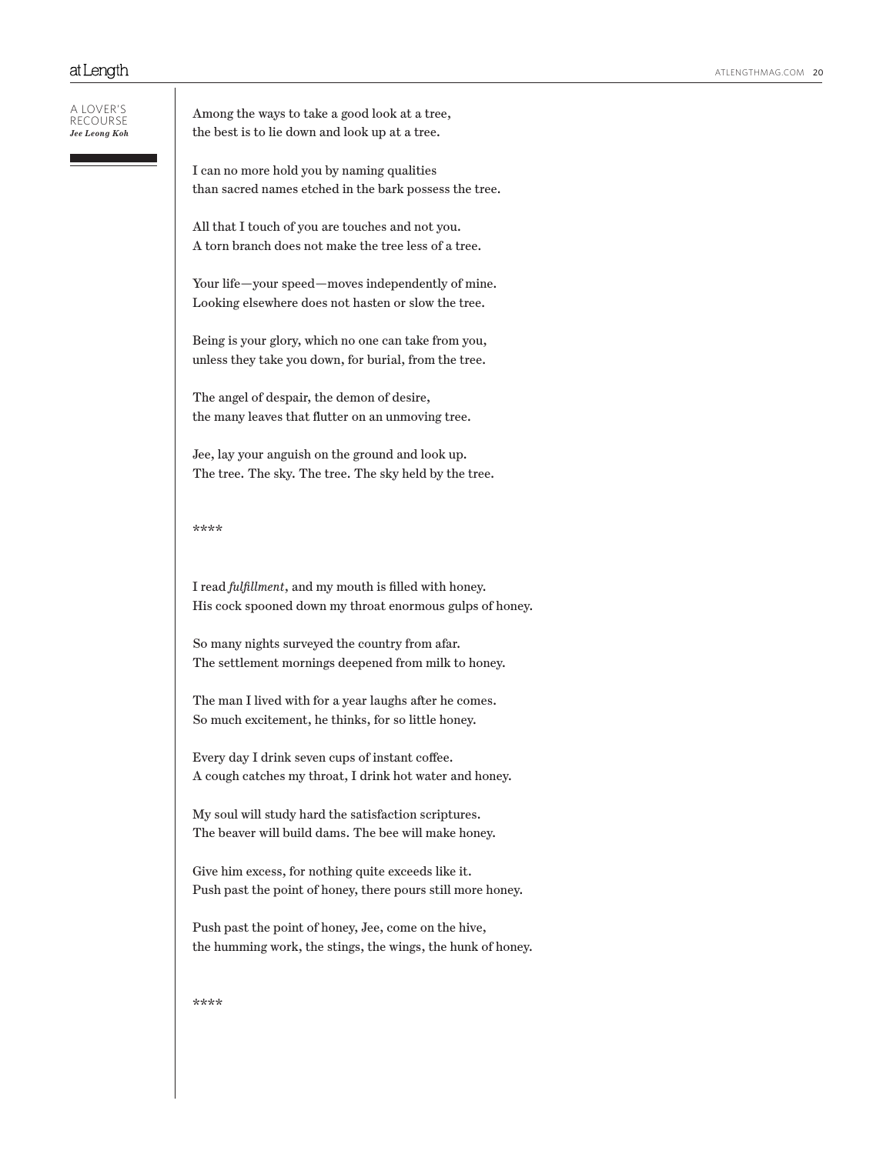A lover's recourse *Jee Leong Koh* Among the ways to take a good look at a tree, the best is to lie down and look up at a tree.

I can no more hold you by naming qualities than sacred names etched in the bark possess the tree.

All that I touch of you are touches and not you. A torn branch does not make the tree less of a tree.

Your life—your speed—moves independently of mine. Looking elsewhere does not hasten or slow the tree.

Being is your glory, which no one can take from you, unless they take you down, for burial, from the tree.

The angel of despair, the demon of desire, the many leaves that flutter on an unmoving tree.

Jee, lay your anguish on the ground and look up. The tree. The sky. The tree. The sky held by the tree.

#### \*\*\*\*

I read *fulfillment*, and my mouth is filled with honey. His cock spooned down my throat enormous gulps of honey.

So many nights surveyed the country from afar. The settlement mornings deepened from milk to honey.

The man I lived with for a year laughs after he comes. So much excitement, he thinks, for so little honey.

Every day I drink seven cups of instant coffee. A cough catches my throat, I drink hot water and honey.

My soul will study hard the satisfaction scriptures. The beaver will build dams. The bee will make honey.

Give him excess, for nothing quite exceeds like it. Push past the point of honey, there pours still more honey.

Push past the point of honey, Jee, come on the hive, the humming work, the stings, the wings, the hunk of honey.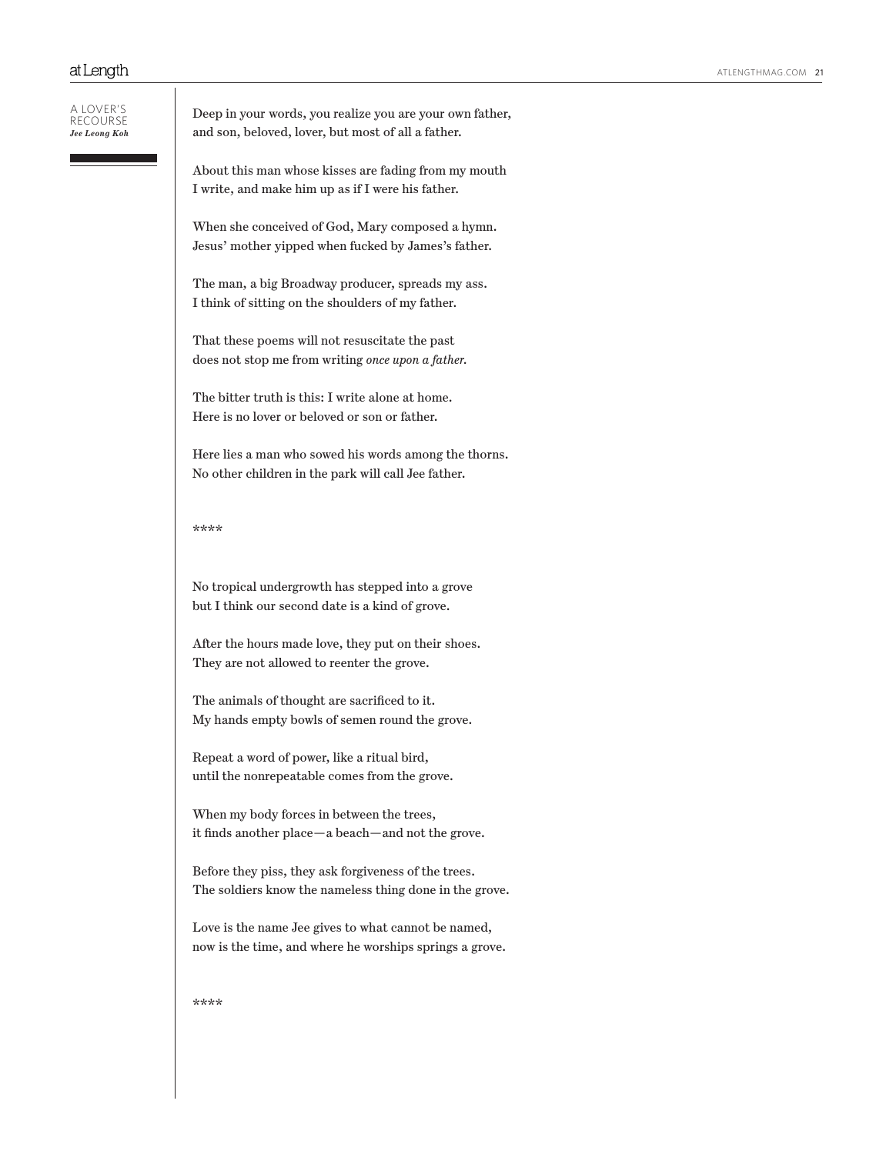| a lover's<br>RECOURSE<br>Jee Leong Koh | Deep in your words, you realize you are your own father,<br>and son, beloved, lover, but most of all a father.<br>About this man whose kisses are fading from my mouth<br>I write, and make him up as if I were his father. |
|----------------------------------------|-----------------------------------------------------------------------------------------------------------------------------------------------------------------------------------------------------------------------------|
|                                        | When she conceived of God, Mary composed a hymn.<br>Jesus' mother yipped when fucked by James's father.                                                                                                                     |
|                                        | The man, a big Broadway producer, spreads my ass.<br>I think of sitting on the shoulders of my father.                                                                                                                      |
|                                        | That these poems will not resuscitate the past<br>does not stop me from writing once upon a father.                                                                                                                         |
|                                        | The bitter truth is this: I write alone at home.<br>Here is no lover or beloved or son or father.                                                                                                                           |
|                                        | Here lies a man who sowed his words among the thorns.<br>No other children in the park will call Jee father.                                                                                                                |
|                                        | ****                                                                                                                                                                                                                        |
|                                        | No tropical undergrowth has stepped into a grove<br>but I think our second date is a kind of grove.                                                                                                                         |
|                                        | After the hours made love, they put on their shoes.<br>They are not allowed to reenter the grove.                                                                                                                           |
|                                        | The animals of thought are sacrificed to it.<br>My hands empty bowls of semen round the grove.                                                                                                                              |
|                                        | Repeat a word of power, like a ritual bird,<br>until the nonrepeatable comes from the grove.                                                                                                                                |
|                                        | When my body forces in between the trees,<br>it finds another place—a beach—and not the grove.                                                                                                                              |
|                                        | Before they piss, they ask forgiveness of the trees.<br>The soldiers know the nameless thing done in the grove.                                                                                                             |
|                                        | Love is the name Jee gives to what cannot be named,<br>now is the time, and where he worships springs a grove.                                                                                                              |
|                                        | ****                                                                                                                                                                                                                        |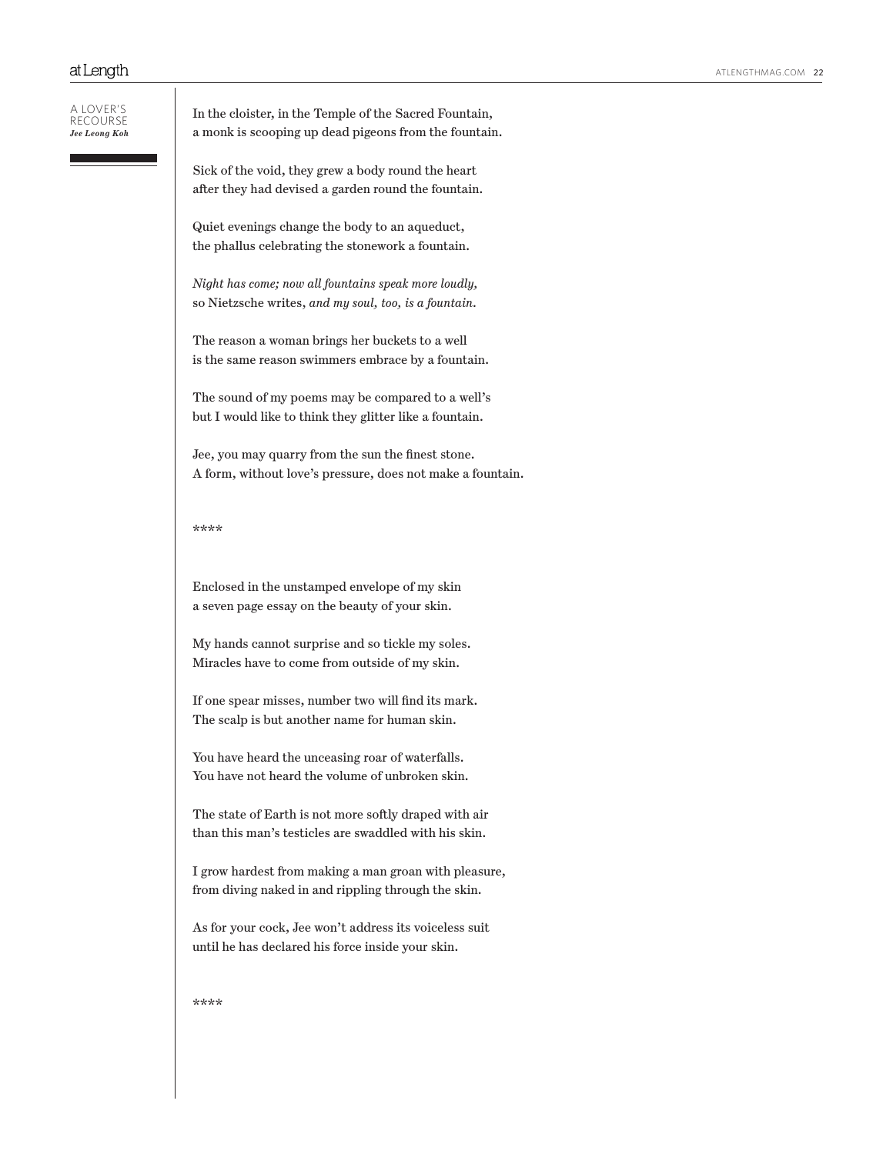A lover's recourse *Jee Leong Koh* In the cloister, in the Temple of the Sacred Fountain, a monk is scooping up dead pigeons from the fountain.

Sick of the void, they grew a body round the heart after they had devised a garden round the fountain.

Quiet evenings change the body to an aqueduct, the phallus celebrating the stonework a fountain.

*Night has come; now all fountains speak more loudly,* so Nietzsche writes, *and my soul, too, is a fountain.* 

The reason a woman brings her buckets to a well is the same reason swimmers embrace by a fountain.

The sound of my poems may be compared to a well's but I would like to think they glitter like a fountain.

Jee, you may quarry from the sun the finest stone. A form, without love's pressure, does not make a fountain.

### \*\*\*\*

Enclosed in the unstamped envelope of my skin a seven page essay on the beauty of your skin.

My hands cannot surprise and so tickle my soles. Miracles have to come from outside of my skin.

If one spear misses, number two will find its mark. The scalp is but another name for human skin.

You have heard the unceasing roar of waterfalls. You have not heard the volume of unbroken skin.

The state of Earth is not more softly draped with air than this man's testicles are swaddled with his skin.

I grow hardest from making a man groan with pleasure, from diving naked in and rippling through the skin.

As for your cock, Jee won't address its voiceless suit until he has declared his force inside your skin.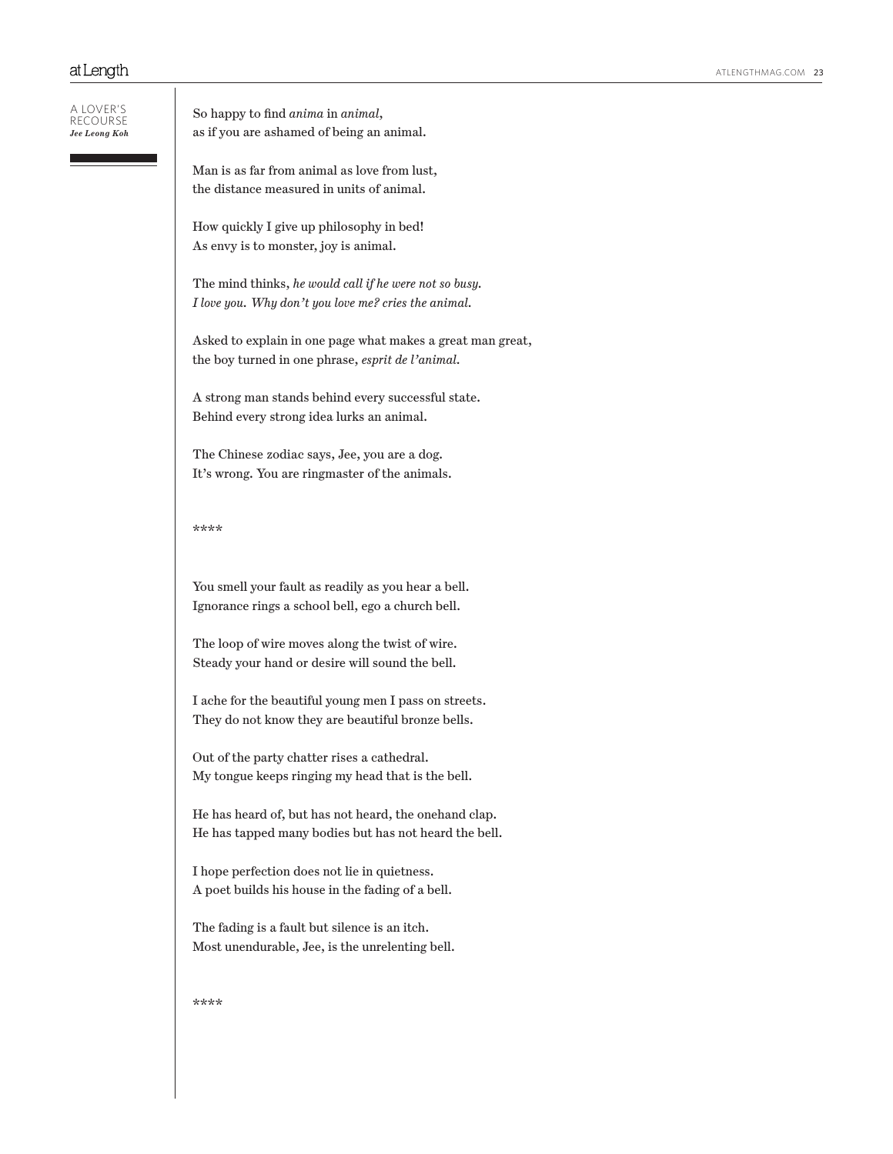A lover's recourse *Jee Leong Koh* So happy to find *anima* in *animal*, as if you are ashamed of being an animal.

Man is as far from animal as love from lust, the distance measured in units of animal.

How quickly I give up philosophy in bed! As envy is to monster, joy is animal.

The mind thinks, *he would call if he were not so busy. I love you. Why don't you love me? cries the animal.*

Asked to explain in one page what makes a great man great, the boy turned in one phrase, *esprit de l'animal.*

A strong man stands behind every successful state. Behind every strong idea lurks an animal.

The Chinese zodiac says, Jee, you are a dog. It's wrong. You are ringmaster of the animals.

\*\*\*\*

You smell your fault as readily as you hear a bell. Ignorance rings a school bell, ego a church bell.

The loop of wire moves along the twist of wire. Steady your hand or desire will sound the bell.

I ache for the beautiful young men I pass on streets. They do not know they are beautiful bronze bells.

Out of the party chatter rises a cathedral. My tongue keeps ringing my head that is the bell.

He has heard of, but has not heard, the onehand clap. He has tapped many bodies but has not heard the bell.

I hope perfection does not lie in quietness. A poet builds his house in the fading of a bell.

The fading is a fault but silence is an itch. Most unendurable, Jee, is the unrelenting bell.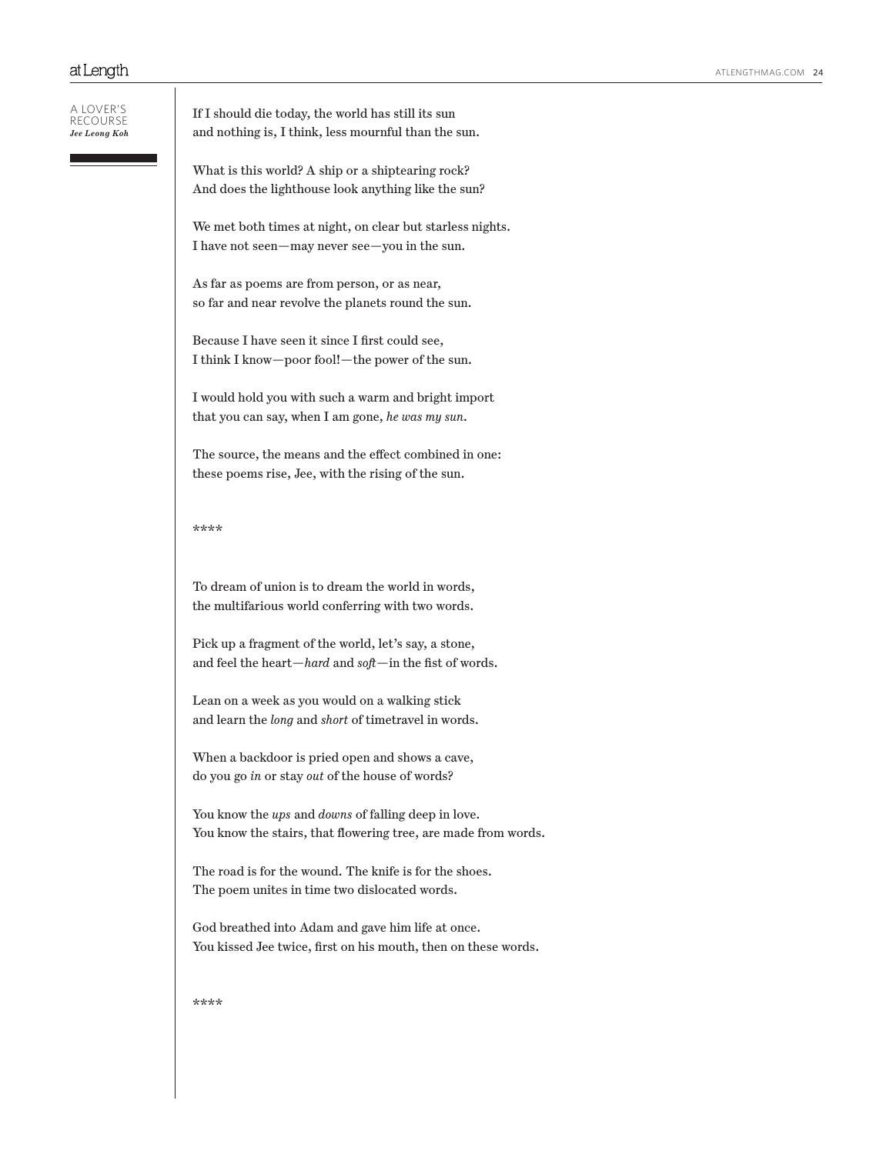A lover's recourse *Jee Leong Koh*

If I should die today, the world has still its sun and nothing is, I think, less mournful than the sun.

What is this world? A ship or a shiptearing rock? And does the lighthouse look anything like the sun?

We met both times at night, on clear but starless nights. I have not seen—may never see—you in the sun.

As far as poems are from person, or as near, so far and near revolve the planets round the sun.

Because I have seen it since I first could see, I think I know—poor fool!—the power of the sun.

I would hold you with such a warm and bright import that you can say, when I am gone, *he was my sun.*

The source, the means and the effect combined in one: these poems rise, Jee, with the rising of the sun.

## \*\*\*\*

To dream of union is to dream the world in words, the multifarious world conferring with two words.

Pick up a fragment of the world, let's say, a stone, and feel the heart—*hard* and *soft*—in the fist of words.

Lean on a week as you would on a walking stick and learn the *long* and *short* of timetravel in words.

When a backdoor is pried open and shows a cave, do you go *in* or stay *out* of the house of words?

You know the *ups* and *downs* of falling deep in love. You know the stairs, that flowering tree, are made from words.

The road is for the wound. The knife is for the shoes. The poem unites in time two dislocated words.

God breathed into Adam and gave him life at once. You kissed Jee twice, first on his mouth, then on these words.